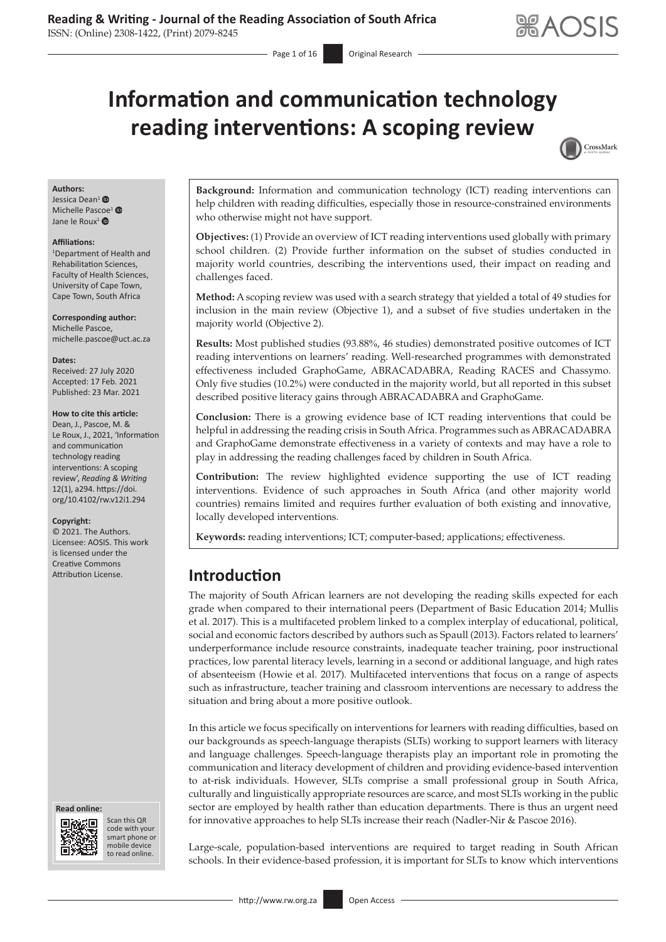# **Information and communication technology reading interventions: A scoping review**



#### **Authors:**

Jessica Dean<sup>[1](https://orcid.org/0000-0002-2060-0754)</sup> Michelle Pascoe<sup>[1](https://orcid.org/0000-0002-6972-9575)</sup><sup>®</sup> Jane le Roux<sup>[1](https://orcid.org/0000-0002-7815-8583)</sup> $\bullet$ 

#### **Affiliations:**

1 Department of Health and Rehabilitation Sciences, Faculty of Health Sciences, University of Cape Town, Cape Town, South Africa

**Corresponding author:** Michelle Pascoe, [michelle.pascoe@uct.ac.za](mailto:michelle.pascoe@uct.ac.za)

#### **Dates:**

Received: 27 July 2020 Accepted: 17 Feb. 2021 Published: 23 Mar. 2021

#### **How to cite this article:**

Dean, J., Pascoe, M. & Le Roux, J., 2021, 'Information and communication technology reading interventions: A scoping review', *Reading & Writing* 12(1), a294. [https://doi.](https://doi.org/10.4102/rw.v12i1.294) [org/10.4102/rw.v12i1.294](https://doi.org/10.4102/rw.v12i1.294)

#### **Copyright:**

© 2021. The Authors. Licensee: AOSIS. This work is licensed under the Creative Commons Attribution License. **Introduction**





Scan this QR code with your Scan this QR<br>code with your<br>smart phone or<br>mobile device mobile device to read online. to read online.

**Background:** Information and communication technology (ICT) reading interventions can help children with reading difficulties, especially those in resource-constrained environments who otherwise might not have support.

**Objectives:** (1) Provide an overview of ICT reading interventions used globally with primary school children. (2) Provide further information on the subset of studies conducted in majority world countries, describing the interventions used, their impact on reading and challenges faced.

**Method:** A scoping review was used with a search strategy that yielded a total of 49 studies for inclusion in the main review (Objective 1), and a subset of five studies undertaken in the majority world (Objective 2).

**Results:** Most published studies (93.88%, 46 studies) demonstrated positive outcomes of ICT reading interventions on learners' reading. Well-researched programmes with demonstrated effectiveness included GraphoGame, ABRACADABRA, Reading RACES and Chassymo. Only five studies (10.2%) were conducted in the majority world, but all reported in this subset described positive literacy gains through ABRACADABRA and GraphoGame.

**Conclusion:** There is a growing evidence base of ICT reading interventions that could be helpful in addressing the reading crisis in South Africa. Programmes such as ABRACADABRA and GraphoGame demonstrate effectiveness in a variety of contexts and may have a role to play in addressing the reading challenges faced by children in South Africa.

**Contribution:** The review highlighted evidence supporting the use of ICT reading interventions. Evidence of such approaches in South Africa (and other majority world countries) remains limited and requires further evaluation of both existing and innovative, locally developed interventions.

**Keywords:** reading interventions; ICT; computer-based; applications; effectiveness.

The majority of South African learners are not developing the reading skills expected for each grade when compared to their international peers (Department of Basic Education 2014; Mullis et al. 2017). This is a multifaceted problem linked to a complex interplay of educational, political, social and economic factors described by authors such as Spaull (2013). Factors related to learners' underperformance include resource constraints, inadequate teacher training, poor instructional practices, low parental literacy levels, learning in a second or additional language, and high rates of absenteeism (Howie et al. 2017). Multifaceted interventions that focus on a range of aspects such as infrastructure, teacher training and classroom interventions are necessary to address the situation and bring about a more positive outlook.

In this article we focus specifically on interventions for learners with reading difficulties, based on our backgrounds as speech-language therapists (SLTs) working to support learners with literacy and language challenges. Speech-language therapists play an important role in promoting the communication and literacy development of children and providing evidence-based intervention to at-risk individuals. However, SLTs comprise a small professional group in South Africa, culturally and linguistically appropriate resources are scarce, and most SLTs working in the public sector are employed by health rather than education departments. There is thus an urgent need for innovative approaches to help SLTs increase their reach (Nadler-Nir & Pascoe 2016).

Large-scale, population-based interventions are required to target reading in South African schools. In their evidence-based profession, it is important for SLTs to know which interventions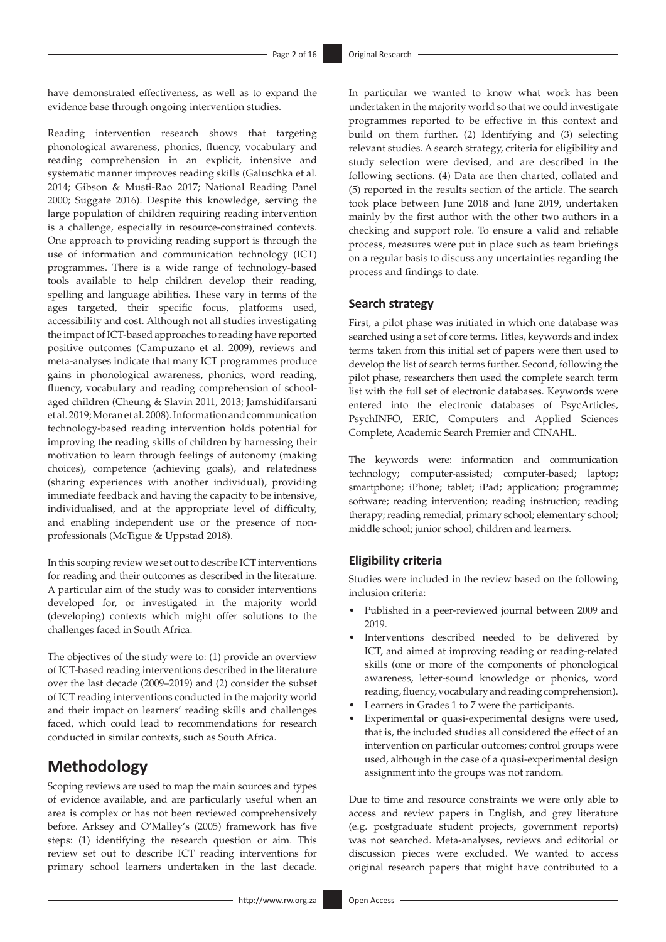have demonstrated effectiveness, as well as to expand the evidence base through ongoing intervention studies.

Reading intervention research shows that targeting phonological awareness, phonics, fluency, vocabulary and reading comprehension in an explicit, intensive and systematic manner improves reading skills (Galuschka et al. 2014; Gibson & Musti-Rao 2017; National Reading Panel 2000; Suggate 2016). Despite this knowledge, serving the large population of children requiring reading intervention is a challenge, especially in resource-constrained contexts. One approach to providing reading support is through the use of information and communication technology (ICT) programmes. There is a wide range of technology-based tools available to help children develop their reading, spelling and language abilities. These vary in terms of the ages targeted, their specific focus, platforms used, accessibility and cost. Although not all studies investigating the impact of ICT-based approaches to reading have reported positive outcomes (Campuzano et al. 2009), reviews and meta-analyses indicate that many ICT programmes produce gains in phonological awareness, phonics, word reading, fluency, vocabulary and reading comprehension of schoolaged children (Cheung & Slavin 2011, 2013; Jamshidifarsani et al. 2019; Moran et al. 2008). Information and communication technology-based reading intervention holds potential for improving the reading skills of children by harnessing their motivation to learn through feelings of autonomy (making choices), competence (achieving goals), and relatedness (sharing experiences with another individual), providing immediate feedback and having the capacity to be intensive, individualised, and at the appropriate level of difficulty, and enabling independent use or the presence of nonprofessionals (McTigue & Uppstad 2018).

In this scoping review we set out to describe ICT interventions for reading and their outcomes as described in the literature. A particular aim of the study was to consider interventions developed for, or investigated in the majority world (developing) contexts which might offer solutions to the challenges faced in South Africa.

The objectives of the study were to: (1) provide an overview of ICT-based reading interventions described in the literature over the last decade (2009–2019) and (2) consider the subset of ICT reading interventions conducted in the majority world and their impact on learners' reading skills and challenges faced, which could lead to recommendations for research conducted in similar contexts, such as South Africa.

### **Methodology**

Scoping reviews are used to map the main sources and types of evidence available, and are particularly useful when an area is complex or has not been reviewed comprehensively before. Arksey and O'Malley's (2005) framework has five steps: (1) identifying the research question or aim. This review set out to describe ICT reading interventions for primary school learners undertaken in the last decade.

In particular we wanted to know what work has been undertaken in the majority world so that we could investigate programmes reported to be effective in this context and build on them further. (2) Identifying and (3) selecting relevant studies. A search strategy, criteria for eligibility and study selection were devised, and are described in the following sections. (4) Data are then charted, collated and (5) reported in the results section of the article. The search took place between June 2018 and June 2019, undertaken mainly by the first author with the other two authors in a checking and support role. To ensure a valid and reliable process, measures were put in place such as team briefings on a regular basis to discuss any uncertainties regarding the process and findings to date.

#### **Search strategy**

First, a pilot phase was initiated in which one database was searched using a set of core terms. Titles, keywords and index terms taken from this initial set of papers were then used to develop the list of search terms further. Second, following the pilot phase, researchers then used the complete search term list with the full set of electronic databases. Keywords were entered into the electronic databases of PsycArticles, PsychINFO, ERIC, Computers and Applied Sciences Complete, Academic Search Premier and CINAHL.

The keywords were: information and communication technology; computer-assisted; computer-based; laptop; smartphone; iPhone; tablet; iPad; application; programme; software; reading intervention; reading instruction; reading therapy; reading remedial; primary school; elementary school; middle school; junior school; children and learners.

### **Eligibility criteria**

Studies were included in the review based on the following inclusion criteria:

- Published in a peer-reviewed journal between 2009 and 2019.
- Interventions described needed to be delivered by ICT, and aimed at improving reading or reading-related skills (one or more of the components of phonological awareness, letter-sound knowledge or phonics, word reading, fluency, vocabulary and reading comprehension).
- Learners in Grades 1 to 7 were the participants.
- Experimental or quasi-experimental designs were used, that is, the included studies all considered the effect of an intervention on particular outcomes; control groups were used, although in the case of a quasi-experimental design assignment into the groups was not random.

Due to time and resource constraints we were only able to access and review papers in English, and grey literature (e.g. postgraduate student projects, government reports) was not searched. Meta-analyses, reviews and editorial or discussion pieces were excluded. We wanted to access original research papers that might have contributed to a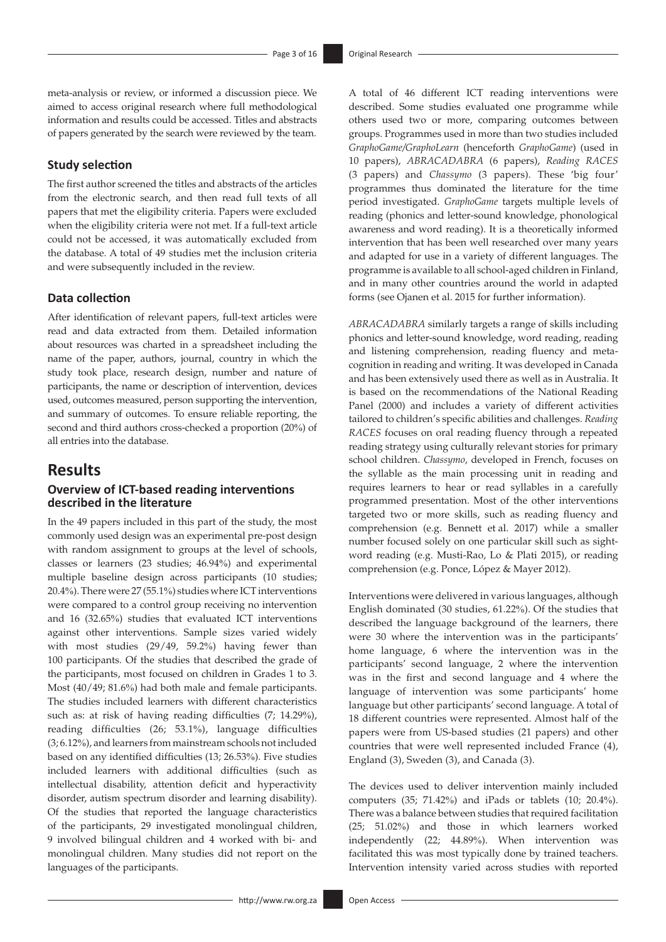meta-analysis or review, or informed a discussion piece. We aimed to access original research where full methodological information and results could be accessed. Titles and abstracts of papers generated by the search were reviewed by the team.

#### **Study selection**

The first author screened the titles and abstracts of the articles from the electronic search, and then read full texts of all papers that met the eligibility criteria. Papers were excluded when the eligibility criteria were not met. If a full-text article could not be accessed, it was automatically excluded from the database. A total of 49 studies met the inclusion criteria and were subsequently included in the review.

#### **Data collection**

After identification of relevant papers, full-text articles were read and data extracted from them. Detailed information about resources was charted in a spreadsheet including the name of the paper, authors, journal, country in which the study took place, research design, number and nature of participants, the name or description of intervention, devices used, outcomes measured, person supporting the intervention, and summary of outcomes. To ensure reliable reporting, the second and third authors cross-checked a proportion (20%) of all entries into the database.

### **Results**

#### **Overview of ICT-based reading interventions described in the literature**

In the 49 papers included in this part of the study, the most commonly used design was an experimental pre-post design with random assignment to groups at the level of schools, classes or learners (23 studies; 46.94%) and experimental multiple baseline design across participants (10 studies; 20.4%). There were 27 (55.1%) studies where ICT interventions were compared to a control group receiving no intervention and 16 (32.65%) studies that evaluated ICT interventions against other interventions. Sample sizes varied widely with most studies (29/49, 59.2%) having fewer than 100 participants. Of the studies that described the grade of the participants, most focused on children in Grades 1 to 3. Most (40/49; 81.6%) had both male and female participants. The studies included learners with different characteristics such as: at risk of having reading difficulties (7; 14.29%), reading difficulties (26; 53.1%), language difficulties (3; 6.12%), and learners from mainstream schools not included based on any identified difficulties (13; 26.53%). Five studies included learners with additional difficulties (such as intellectual disability, attention deficit and hyperactivity disorder, autism spectrum disorder and learning disability). Of the studies that reported the language characteristics of the participants, 29 investigated monolingual children, 9 involved bilingual children and 4 worked with bi- and monolingual children. Many studies did not report on the languages of the participants.

A total of 46 different ICT reading interventions were described. Some studies evaluated one programme while others used two or more, comparing outcomes between groups. Programmes used in more than two studies included *GraphoGame/GraphoLearn* (henceforth *GraphoGame*) (used in 10 papers), *ABRACADABRA* (6 papers), *Reading RACES* (3 papers) and *Chassymo* (3 papers). These 'big four' programmes thus dominated the literature for the time period investigated. *GraphoGame* targets multiple levels of reading (phonics and letter-sound knowledge, phonological awareness and word reading). It is a theoretically informed intervention that has been well researched over many years and adapted for use in a variety of different languages. The programme is available to all school-aged children in Finland, and in many other countries around the world in adapted forms (see Ojanen et al. 2015 for further information).

*ABRACADABRA* similarly targets a range of skills including phonics and letter-sound knowledge, word reading, reading and listening comprehension, reading fluency and metacognition in reading and writing. It was developed in Canada and has been extensively used there as well as in Australia. It is based on the recommendations of the National Reading Panel (2000) and includes a variety of different activities tailored to children's specific abilities and challenges. *Reading RACES* focuses on oral reading fluency through a repeated reading strategy using culturally relevant stories for primary school children. *Chassymo*, developed in French, focuses on the syllable as the main processing unit in reading and requires learners to hear or read syllables in a carefully programmed presentation. Most of the other interventions targeted two or more skills, such as reading fluency and comprehension (e.g. Bennett et al. 2017) while a smaller number focused solely on one particular skill such as sightword reading (e.g. Musti-Rao, Lo & Plati 2015), or reading comprehension (e.g. Ponce, López & Mayer 2012).

Interventions were delivered in various languages, although English dominated (30 studies, 61.22%). Of the studies that described the language background of the learners, there were 30 where the intervention was in the participants' home language, 6 where the intervention was in the participants' second language, 2 where the intervention was in the first and second language and 4 where the language of intervention was some participants' home language but other participants' second language. A total of 18 different countries were represented. Almost half of the papers were from US-based studies (21 papers) and other countries that were well represented included France (4), England (3), Sweden (3), and Canada (3).

The devices used to deliver intervention mainly included computers (35; 71.42%) and iPads or tablets (10; 20.4%). There was a balance between studies that required facilitation (25; 51.02%) and those in which learners worked independently (22; 44.89%). When intervention was facilitated this was most typically done by trained teachers. Intervention intensity varied across studies with reported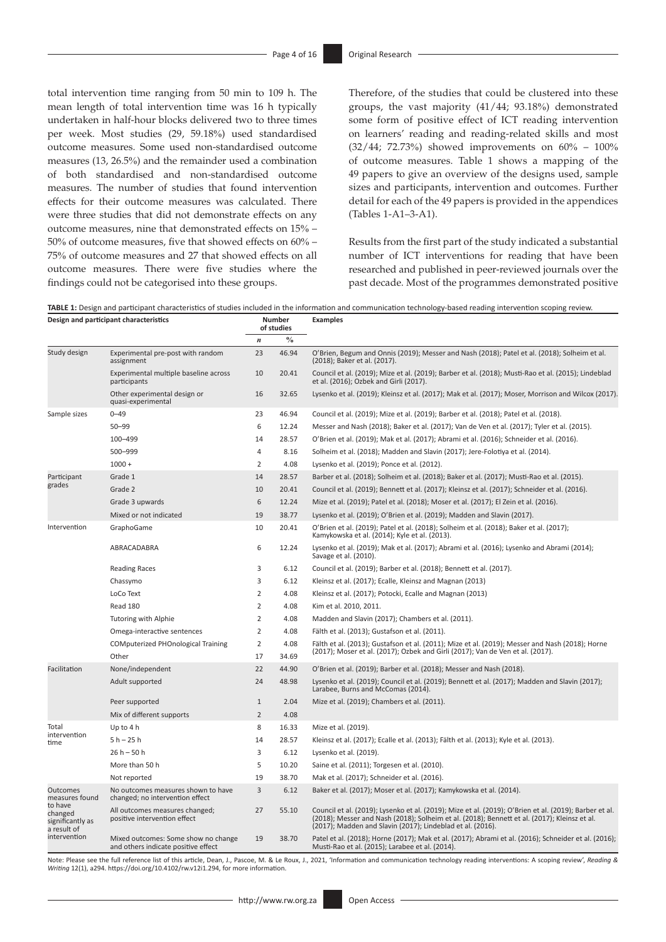total intervention time ranging from 50 min to 109 h. The mean length of total intervention time was 16 h typically undertaken in half-hour blocks delivered two to three times per week. Most studies (29, 59.18%) used standardised outcome measures. Some used non-standardised outcome measures (13, 26.5%) and the remainder used a combination of both standardised and non-standardised outcome measures. The number of studies that found intervention effects for their outcome measures was calculated. There were three studies that did not demonstrate effects on any outcome measures, nine that demonstrated effects on 15% – 50% of outcome measures, five that showed effects on 60% – 75% of outcome measures and 27 that showed effects on all outcome measures. There were five studies where the findings could not be categorised into these groups.

Therefore, of the studies that could be clustered into these groups, the vast majority (41/44; 93.18%) demonstrated some form of positive effect of ICT reading intervention on learners' reading and reading-related skills and most (32/44; 72.73%) showed improvements on 60% – 100% of outcome measures. Table 1 shows a mapping of the 49 papers to give an overview of the designs used, sample sizes and participants, intervention and outcomes. Further detail for each of the 49 papers is provided in the appendices (Tables 1-A1–3-A1).

Results from the first part of the study indicated a substantial number of ICT interventions for reading that have been researched and published in peer-reviewed journals over the past decade. Most of the programmes demonstrated positive

**TABLE 1:** Design and participant characteristics of studies included in the information and communication technology-based reading intervention scoping review.

|                                                       | Design and participant characteristics                                     |                  | Number<br>of studies | <b>Examples</b>                                                                                                                                                                                                                                                      |
|-------------------------------------------------------|----------------------------------------------------------------------------|------------------|----------------------|----------------------------------------------------------------------------------------------------------------------------------------------------------------------------------------------------------------------------------------------------------------------|
|                                                       |                                                                            | $\boldsymbol{n}$ | $\frac{0}{0}$        |                                                                                                                                                                                                                                                                      |
| Study design                                          | Experimental pre-post with random<br>assignment                            | 23               | 46.94                | O'Brien, Begum and Onnis (2019); Messer and Nash (2018); Patel et al. (2018); Solheim et al.<br>(2018); Baker et al. (2017).                                                                                                                                         |
|                                                       | Experimental multiple baseline across<br>participants                      | 10               | 20.41                | Council et al. (2019); Mize et al. (2019); Barber et al. (2018); Musti-Rao et al. (2015); Lindeblad<br>et al. (2016); Ozbek and Girli (2017).                                                                                                                        |
|                                                       | Other experimental design or<br>quasi-experimental                         | 16               | 32.65                | Lysenko et al. (2019); Kleinsz et al. (2017); Mak et al. (2017); Moser, Morrison and Wilcox (2017)                                                                                                                                                                   |
| Sample sizes                                          | $0 - 49$                                                                   | 23               | 46.94                | Council et al. (2019); Mize et al. (2019); Barber et al. (2018); Patel et al. (2018).                                                                                                                                                                                |
|                                                       | $50 - 99$                                                                  | 6                | 12.24                | Messer and Nash (2018); Baker et al. (2017); Van de Ven et al. (2017); Tyler et al. (2015).                                                                                                                                                                          |
|                                                       | 100-499                                                                    | 14               | 28.57                | O'Brien et al. (2019); Mak et al. (2017); Abrami et al. (2016); Schneider et al. (2016).                                                                                                                                                                             |
|                                                       | 500-999                                                                    | 4                | 8.16                 | Solheim et al. (2018); Madden and Slavin (2017); Jere-Folotiya et al. (2014).                                                                                                                                                                                        |
|                                                       | $1000 +$                                                                   | $\overline{2}$   | 4.08                 | Lysenko et al. (2019); Ponce et al. (2012).                                                                                                                                                                                                                          |
| Participant                                           | Grade 1                                                                    | 14               | 28.57                | Barber et al. (2018); Solheim et al. (2018); Baker et al. (2017); Musti-Rao et al. (2015).                                                                                                                                                                           |
| grades                                                | Grade 2                                                                    | 10               | 20.41                | Council et al. (2019); Bennett et al. (2017); Kleinsz et al. (2017); Schneider et al. (2016).                                                                                                                                                                        |
|                                                       | Grade 3 upwards                                                            | 6                | 12.24                | Mize et al. (2019); Patel et al. (2018); Moser et al. (2017); El Zein et al. (2016).                                                                                                                                                                                 |
|                                                       | Mixed or not indicated                                                     | 19               | 38.77                | Lysenko et al. (2019); O'Brien et al. (2019); Madden and Slavin (2017).                                                                                                                                                                                              |
| Intervention                                          | GraphoGame                                                                 | 10               | 20.41                | O'Brien et al. (2019); Patel et al. (2018); Solheim et al. (2018); Baker et al. (2017);<br>Kamykowska et al. (2014); Kyle et al. (2013).                                                                                                                             |
|                                                       | ABRACADABRA                                                                | 6                | 12.24                | Lysenko et al. (2019); Mak et al. (2017); Abrami et al. (2016); Lysenko and Abrami (2014);<br>Savage et al. (2010).                                                                                                                                                  |
|                                                       | <b>Reading Races</b>                                                       | 3                | 6.12                 | Council et al. (2019); Barber et al. (2018); Bennett et al. (2017).                                                                                                                                                                                                  |
|                                                       | Chassymo                                                                   | 3                | 6.12                 | Kleinsz et al. (2017); Ecalle, Kleinsz and Magnan (2013)                                                                                                                                                                                                             |
|                                                       | LoCo Text                                                                  | $\overline{2}$   | 4.08                 | Kleinsz et al. (2017); Potocki, Ecalle and Magnan (2013)                                                                                                                                                                                                             |
|                                                       | Read 180                                                                   | $\overline{2}$   | 4.08                 | Kim et al. 2010, 2011.                                                                                                                                                                                                                                               |
|                                                       | Tutoring with Alphie                                                       | 2                | 4.08                 | Madden and Slavin (2017); Chambers et al. (2011).                                                                                                                                                                                                                    |
|                                                       | Omega-interactive sentences                                                | $\overline{2}$   | 4.08                 | Fälth et al. (2013); Gustafson et al. (2011).                                                                                                                                                                                                                        |
|                                                       | <b>COMputerized PHOnological Training</b>                                  | $\overline{2}$   | 4.08                 | Fälth et al. (2013); Gustafson et al. (2011); Mize et al. (2019); Messer and Nash (2018); Horne                                                                                                                                                                      |
|                                                       | Other                                                                      | 17               | 34.69                | (2017); Moser et al. (2017); Ozbek and Girli (2017); Van de Ven et al. (2017).                                                                                                                                                                                       |
| Facilitation                                          | None/independent                                                           | 22               | 44.90                | O'Brien et al. (2019); Barber et al. (2018); Messer and Nash (2018).                                                                                                                                                                                                 |
|                                                       | Adult supported                                                            | 24               | 48.98                | Lysenko et al. (2019); Council et al. (2019); Bennett et al. (2017); Madden and Slavin (2017);<br>Larabee, Burns and McComas (2014).                                                                                                                                 |
|                                                       | Peer supported                                                             | $\mathbf{1}$     | 2.04                 | Mize et al. (2019); Chambers et al. (2011).                                                                                                                                                                                                                          |
|                                                       | Mix of different supports                                                  | $\overline{2}$   | 4.08                 |                                                                                                                                                                                                                                                                      |
| Total                                                 | Up to $4 h$                                                                | 8                | 16.33                | Mize et al. (2019).                                                                                                                                                                                                                                                  |
| intervention<br>time                                  | $5 h - 25 h$                                                               | 14               | 28.57                | Kleinsz et al. (2017); Ecalle et al. (2013); Fälth et al. (2013); Kyle et al. (2013).                                                                                                                                                                                |
|                                                       | $26 h - 50 h$                                                              | 3                | 6.12                 | Lysenko et al. (2019).                                                                                                                                                                                                                                               |
|                                                       | More than 50 h                                                             | 5                | 10.20                | Saine et al. (2011); Torgesen et al. (2010).                                                                                                                                                                                                                         |
|                                                       | Not reported                                                               | 19               | 38.70                | Mak et al. (2017); Schneider et al. (2016).                                                                                                                                                                                                                          |
| <b>Outcomes</b><br>measures found                     | No outcomes measures shown to have<br>changed; no intervention effect      | $\overline{3}$   | 6.12                 | Baker et al. (2017); Moser et al. (2017); Kamykowska et al. (2014).                                                                                                                                                                                                  |
| to have<br>changed<br>significantly as<br>a result of | All outcomes measures changed;<br>positive intervention effect             | 27               | 55.10                | Council et al. (2019); Lysenko et al. (2019); Mize et al. (2019); O'Brien et al. (2019); Barber et al.<br>(2018); Messer and Nash (2018); Solheim et al. (2018); Bennett et al. (2017); Kleinsz et al.<br>(2017); Madden and Slavin (2017); Lindeblad et al. (2016). |
| intervention                                          | Mixed outcomes: Some show no change<br>and others indicate positive effect | 19               | 38.70                | Patel et al. (2018); Horne (2017); Mak et al. (2017); Abrami et al. (2016); Schneider et al. (2016);<br>Musti-Rao et al. (2015); Larabee et al. (2014).                                                                                                              |

Note: Please see the full reference list of this article, Dean, J., Pascoe, M. & Le Roux, J., 2021, 'Information and communication technology reading interventions: A scoping review', Reading &<br>Writing 12(1), a294. https:/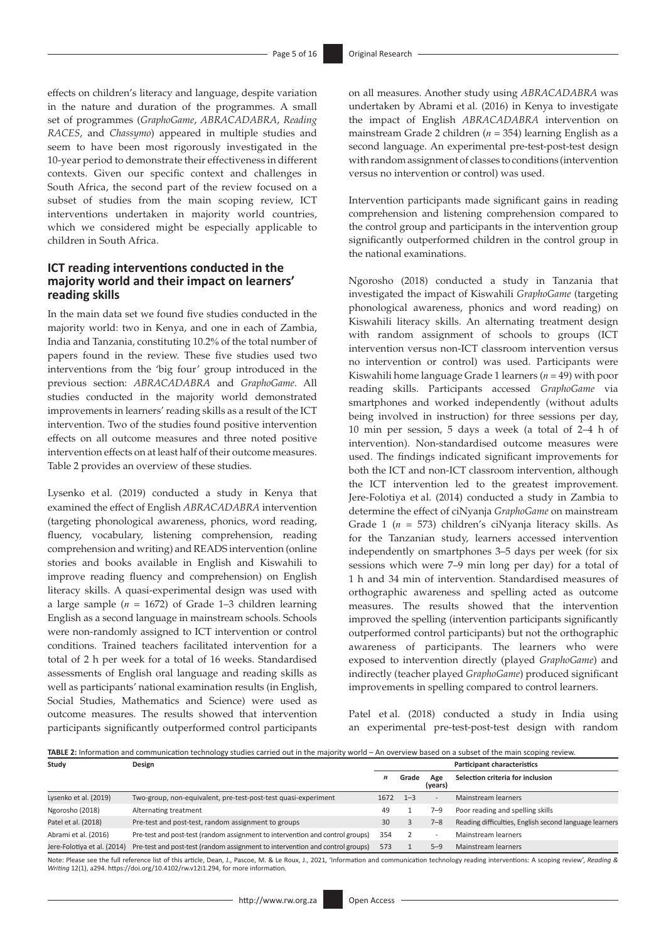effects on children's literacy and language, despite variation in the nature and duration of the programmes. A small set of programmes (*GraphoGame*, *ABRACADABRA*, *Reading RACES*, and *Chassymo*) appeared in multiple studies and seem to have been most rigorously investigated in the 10-year period to demonstrate their effectiveness in different contexts. Given our specific context and challenges in South Africa, the second part of the review focused on a subset of studies from the main scoping review, ICT interventions undertaken in majority world countries, which we considered might be especially applicable to children in South Africa.

### **ICT reading interventions conducted in the majority world and their impact on learners' reading skills**

In the main data set we found five studies conducted in the majority world: two in Kenya, and one in each of Zambia, India and Tanzania, constituting 10.2% of the total number of papers found in the review. These five studies used two interventions from the 'big four' group introduced in the previous section: *ABRACADABRA* and *GraphoGame*. All studies conducted in the majority world demonstrated improvements in learners' reading skills as a result of the ICT intervention. Two of the studies found positive intervention effects on all outcome measures and three noted positive intervention effects on at least half of their outcome measures. Table 2 provides an overview of these studies.

Lysenko et al. (2019) conducted a study in Kenya that examined the effect of English *ABRACADABRA* intervention (targeting phonological awareness, phonics, word reading, fluency, vocabulary, listening comprehension, reading comprehension and writing) and READS intervention (online stories and books available in English and Kiswahili to improve reading fluency and comprehension) on English literacy skills. A quasi-experimental design was used with a large sample (*n* = 1672) of Grade 1–3 children learning English as a second language in mainstream schools. Schools were non-randomly assigned to ICT intervention or control conditions. Trained teachers facilitated intervention for a total of 2 h per week for a total of 16 weeks. Standardised assessments of English oral language and reading skills as well as participants' national examination results (in English, Social Studies, Mathematics and Science) were used as outcome measures. The results showed that intervention participants significantly outperformed control participants

on all measures. Another study using *ABRACADABRA* was undertaken by Abrami et al. (2016) in Kenya to investigate the impact of English *ABRACADABRA* intervention on mainstream Grade 2 children (*n* = 354) learning English as a second language. An experimental pre-test-post-test design with random assignment of classes to conditions (intervention versus no intervention or control) was used.

Intervention participants made significant gains in reading comprehension and listening comprehension compared to the control group and participants in the intervention group significantly outperformed children in the control group in the national examinations.

Ngorosho (2018) conducted a study in Tanzania that investigated the impact of Kiswahili *GraphoGame* (targeting phonological awareness, phonics and word reading) on Kiswahili literacy skills. An alternating treatment design with random assignment of schools to groups (ICT intervention versus non-ICT classroom intervention versus no intervention or control) was used. Participants were Kiswahili home language Grade 1 learners (*n* = 49) with poor reading skills. Participants accessed *GraphoGame* via smartphones and worked independently (without adults being involved in instruction) for three sessions per day, 10 min per session, 5 days a week (a total of 2–4 h of intervention). Non-standardised outcome measures were used. The findings indicated significant improvements for both the ICT and non-ICT classroom intervention, although the ICT intervention led to the greatest improvement. Jere-Folotiya et al. (2014) conducted a study in Zambia to determine the effect of ciNyanja *GraphoGame* on mainstream Grade 1 (*n* = 573) children's ciNyanja literacy skills. As for the Tanzanian study, learners accessed intervention independently on smartphones 3–5 days per week (for six sessions which were 7–9 min long per day) for a total of 1 h and 34 min of intervention. Standardised measures of orthographic awareness and spelling acted as outcome measures. The results showed that the intervention improved the spelling (intervention participants significantly outperformed control participants) but not the orthographic awareness of participants. The learners who were exposed to intervention directly (played *GraphoGame*) and indirectly (teacher played *GraphoGame*) produced significant improvements in spelling compared to control learners.

Patel et al. (2018) conducted a study in India using an experimental pre-test-post-test design with random

|       |        |  | <b>TABLE 2:</b> Information and communication technology studies carried out in the maiority world $-$ An overview based on a subset of the main scoping review. |  |
|-------|--------|--|------------------------------------------------------------------------------------------------------------------------------------------------------------------|--|
| Study | Design |  | <b>Participant characteristics</b>                                                                                                                               |  |

| <b>Jiuuv</b>                | PLSIEI                                                                                                                                                                                        |      |         |                          | i articipant characteristics                           |
|-----------------------------|-----------------------------------------------------------------------------------------------------------------------------------------------------------------------------------------------|------|---------|--------------------------|--------------------------------------------------------|
|                             |                                                                                                                                                                                               | n    | Grade   | Age<br>(years)           | Selection criteria for inclusion                       |
| Lysenko et al. (2019)       | Two-group, non-equivalent, pre-test-post-test quasi-experiment                                                                                                                                | 1672 | $1 - 3$ | $\overline{\phantom{a}}$ | Mainstream learners                                    |
| Ngorosho (2018)             | Alternating treatment                                                                                                                                                                         | 49   |         | $7 - 9$                  | Poor reading and spelling skills                       |
| Patel et al. (2018)         | Pre-test and post-test, random assignment to groups                                                                                                                                           | 30   |         | $7 - 8$                  | Reading difficulties, English second language learners |
| Abrami et al. (2016)        | Pre-test and post-test (random assignment to intervention and control groups)                                                                                                                 | 354  |         | $\overline{\phantom{0}}$ | Mainstream learners                                    |
| Jere-Folotiya et al. (2014) | Pre-test and post-test (random assignment to intervention and control groups)                                                                                                                 | 573  |         | $5 - 9$                  | Mainstream learners                                    |
|                             | Note: Place soo the full reference list of this article. Dean J. Passeo, M. 8, Le Poux J. 2021. (Information and communication technology reading interventions: A scening review/ Peading 8. |      |         |                          |                                                        |

Note: Please see the full reference list of this article, Dean, J., Pascoe, M. & Le Roux, J., 2021, 'Information and communication technology reading interventions: A scoping review', Reading &<br>Writing 12(1), a294. https:/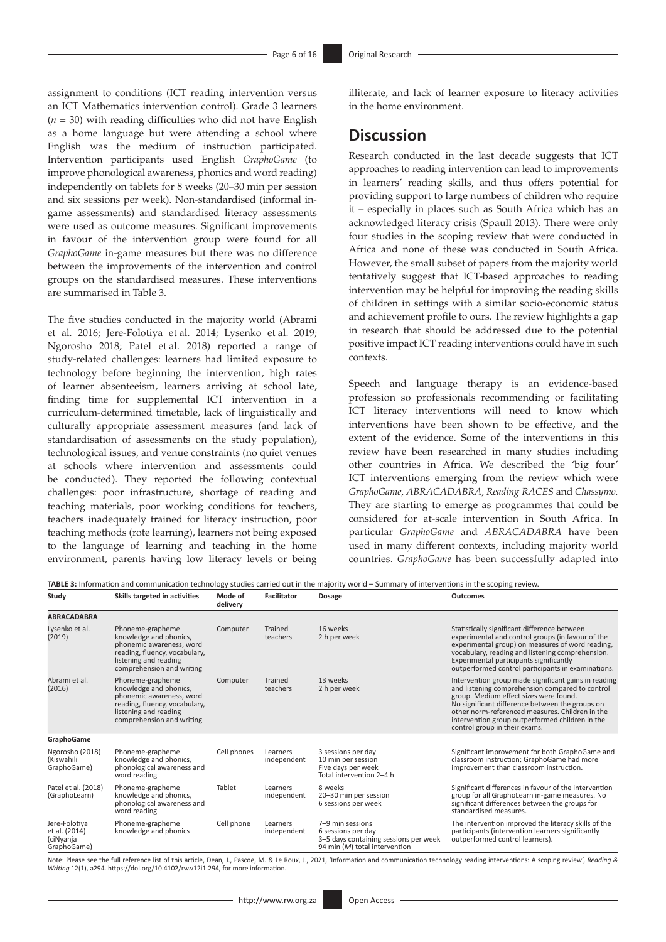assignment to conditions (ICT reading intervention versus an ICT Mathematics intervention control). Grade 3 learners  $(n = 30)$  with reading difficulties who did not have English as a home language but were attending a school where English was the medium of instruction participated. Intervention participants used English *GraphoGame* (to improve phonological awareness, phonics and word reading) independently on tablets for 8 weeks (20–30 min per session and six sessions per week). Non-standardised (informal ingame assessments) and standardised literacy assessments were used as outcome measures. Significant improvements in favour of the intervention group were found for all *GraphoGame* in-game measures but there was no difference between the improvements of the intervention and control groups on the standardised measures. These interventions are summarised in Table 3.

The five studies conducted in the majority world (Abrami et al. 2016; Jere-Folotiya et al. 2014; Lysenko et al. 2019; Ngorosho 2018; Patel et al. 2018) reported a range of study-related challenges: learners had limited exposure to technology before beginning the intervention, high rates of learner absenteeism, learners arriving at school late, finding time for supplemental ICT intervention in a curriculum-determined timetable, lack of linguistically and culturally appropriate assessment measures (and lack of standardisation of assessments on the study population), technological issues, and venue constraints (no quiet venues at schools where intervention and assessments could be conducted). They reported the following contextual challenges: poor infrastructure, shortage of reading and teaching materials, poor working conditions for teachers, teachers inadequately trained for literacy instruction, poor teaching methods (rote learning), learners not being exposed to the language of learning and teaching in the home environment, parents having low literacy levels or being

illiterate, and lack of learner exposure to literacy activities in the home environment.

### **Discussion**

Research conducted in the last decade suggests that ICT approaches to reading intervention can lead to improvements in learners' reading skills, and thus offers potential for providing support to large numbers of children who require it – especially in places such as South Africa which has an acknowledged literacy crisis (Spaull 2013). There were only four studies in the scoping review that were conducted in Africa and none of these was conducted in South Africa. However, the small subset of papers from the majority world tentatively suggest that ICT-based approaches to reading intervention may be helpful for improving the reading skills of children in settings with a similar socio-economic status and achievement profile to ours. The review highlights a gap in research that should be addressed due to the potential positive impact ICT reading interventions could have in such contexts.

Speech and language therapy is an evidence-based profession so professionals recommending or facilitating ICT literacy interventions will need to know which interventions have been shown to be effective, and the extent of the evidence. Some of the interventions in this review have been researched in many studies including other countries in Africa. We described the 'big four' ICT interventions emerging from the review which were *GraphoGame*, *ABRACADABRA*, *Reading RACES* and *Chassymo.* They are starting to emerge as programmes that could be considered for at-scale intervention in South Africa. In particular *GraphoGame* and *ABRACADABRA* have been used in many different contexts, including majority world countries. *GraphoGame* has been successfully adapted into

**TABLE 3:** Information and communication technology studies carried out in the majority world – Summary of interventions in the scoping review.

| Study                                                      | Skills targeted in activities                                                                                                                                 | Mode of<br>delivery | <b>Facilitator</b>      | <b>Dosage</b>                                                                                                    | <b>Outcomes</b>                                                                                                                                                                                                                                                                                                                             |
|------------------------------------------------------------|---------------------------------------------------------------------------------------------------------------------------------------------------------------|---------------------|-------------------------|------------------------------------------------------------------------------------------------------------------|---------------------------------------------------------------------------------------------------------------------------------------------------------------------------------------------------------------------------------------------------------------------------------------------------------------------------------------------|
| <b>ABRACADABRA</b>                                         |                                                                                                                                                               |                     |                         |                                                                                                                  |                                                                                                                                                                                                                                                                                                                                             |
| Lysenko et al.<br>(2019)                                   | Phoneme-grapheme<br>knowledge and phonics,<br>phonemic awareness, word<br>reading, fluency, vocabulary,<br>listening and reading<br>comprehension and writing | Computer            | Trained<br>teachers     | 16 weeks<br>2 h per week                                                                                         | Statistically significant difference between<br>experimental and control groups (in favour of the<br>experimental group) on measures of word reading,<br>vocabulary, reading and listening comprehension.<br>Experimental participants significantly<br>outperformed control participants in examinations.                                  |
| Abrami et al.<br>(2016)                                    | Phoneme-grapheme<br>knowledge and phonics,<br>phonemic awareness, word<br>reading, fluency, vocabulary,<br>listening and reading<br>comprehension and writing | Computer            | Trained<br>teachers     | 13 weeks<br>2 h per week                                                                                         | Intervention group made significant gains in reading<br>and listening comprehension compared to control<br>group. Medium effect sizes were found.<br>No significant difference between the groups on<br>other norm-referenced measures. Children in the<br>intervention group outperformed children in the<br>control group in their exams. |
| GraphoGame                                                 |                                                                                                                                                               |                     |                         |                                                                                                                  |                                                                                                                                                                                                                                                                                                                                             |
| Ngorosho (2018)<br>(Kiswahili<br>GraphoGame)               | Phoneme-grapheme<br>knowledge and phonics,<br>phonological awareness and<br>word reading                                                                      | Cell phones         | Learners<br>independent | 3 sessions per day<br>10 min per session<br>Five days per week<br>Total intervention 2-4 h                       | Significant improvement for both GraphoGame and<br>classroom instruction; GraphoGame had more<br>improvement than classroom instruction.                                                                                                                                                                                                    |
| Patel et al. (2018)<br>(GraphoLearn)                       | Phoneme-grapheme<br>knowledge and phonics,<br>phonological awareness and<br>word reading                                                                      | Tablet              | Learners<br>independent | 8 weeks<br>20-30 min per session<br>6 sessions per week                                                          | Significant differences in favour of the intervention<br>group for all GraphoLearn in-game measures. No<br>significant differences between the groups for<br>standardised measures.                                                                                                                                                         |
| Jere-Folotiya<br>et al. (2014)<br>(ciNyanja<br>GraphoGame) | Phoneme-grapheme<br>knowledge and phonics                                                                                                                     | Cell phone          | Learners<br>independent | 7-9 min sessions<br>6 sessions per day<br>3-5 days containing sessions per week<br>94 min (M) total intervention | The intervention improved the literacy skills of the<br>participants (intervention learners significantly<br>outperformed control learners).                                                                                                                                                                                                |

Note: Please see the full reference list of this article, Dean, J., Pascoe, M. & Le Roux, J., 2021, 'Information and communication technology reading interventions: A scoping review', Reading &<br>Writing 12(1), a294. https:/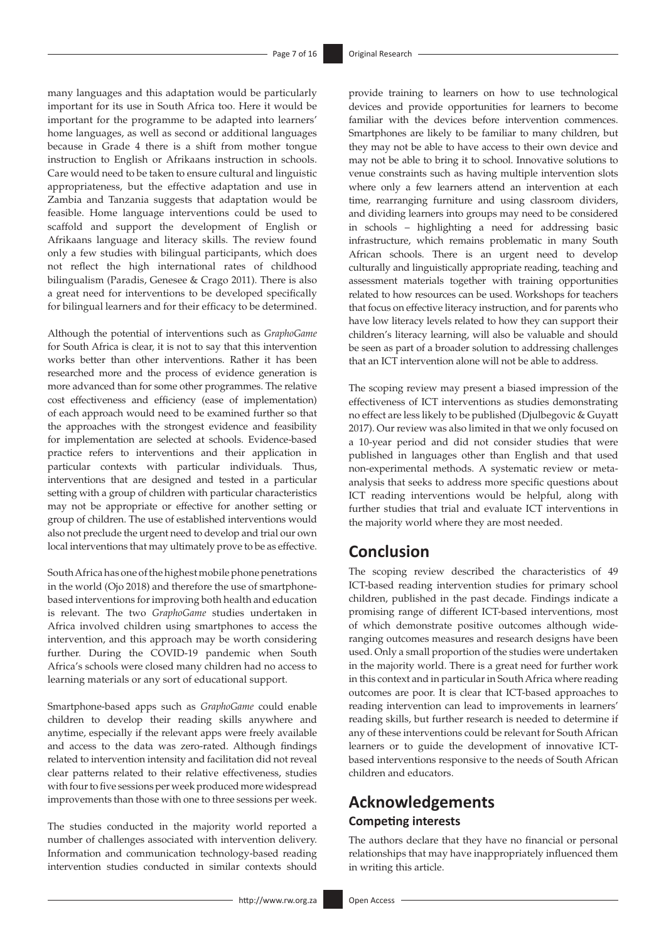many languages and this adaptation would be particularly important for its use in South Africa too. Here it would be important for the programme to be adapted into learners' home languages, as well as second or additional languages because in Grade 4 there is a shift from mother tongue instruction to English or Afrikaans instruction in schools. Care would need to be taken to ensure cultural and linguistic appropriateness, but the effective adaptation and use in Zambia and Tanzania suggests that adaptation would be feasible. Home language interventions could be used to scaffold and support the development of English or Afrikaans language and literacy skills. The review found only a few studies with bilingual participants, which does not reflect the high international rates of childhood bilingualism (Paradis, Genesee & Crago 2011). There is also a great need for interventions to be developed specifically for bilingual learners and for their efficacy to be determined.

Although the potential of interventions such as *GraphoGame* for South Africa is clear, it is not to say that this intervention works better than other interventions. Rather it has been researched more and the process of evidence generation is more advanced than for some other programmes. The relative cost effectiveness and efficiency (ease of implementation) of each approach would need to be examined further so that the approaches with the strongest evidence and feasibility for implementation are selected at schools. Evidence-based practice refers to interventions and their application in particular contexts with particular individuals. Thus, interventions that are designed and tested in a particular setting with a group of children with particular characteristics may not be appropriate or effective for another setting or group of children. The use of established interventions would also not preclude the urgent need to develop and trial our own local interventions that may ultimately prove to be as effective.

South Africa has one of the highest mobile phone penetrations in the world (Ojo 2018) and therefore the use of smartphonebased interventions for improving both health and education is relevant. The two *GraphoGame* studies undertaken in Africa involved children using smartphones to access the intervention, and this approach may be worth considering further. During the COVID-19 pandemic when South Africa's schools were closed many children had no access to learning materials or any sort of educational support.

Smartphone-based apps such as *GraphoGame* could enable children to develop their reading skills anywhere and anytime, especially if the relevant apps were freely available and access to the data was zero-rated. Although findings related to intervention intensity and facilitation did not reveal clear patterns related to their relative effectiveness, studies with four to five sessions per week produced more widespread improvements than those with one to three sessions per week.

The studies conducted in the majority world reported a number of challenges associated with intervention delivery. Information and communication technology-based reading intervention studies conducted in similar contexts should provide training to learners on how to use technological devices and provide opportunities for learners to become familiar with the devices before intervention commences. Smartphones are likely to be familiar to many children, but they may not be able to have access to their own device and may not be able to bring it to school. Innovative solutions to venue constraints such as having multiple intervention slots where only a few learners attend an intervention at each time, rearranging furniture and using classroom dividers, and dividing learners into groups may need to be considered in schools – highlighting a need for addressing basic infrastructure, which remains problematic in many South African schools. There is an urgent need to develop culturally and linguistically appropriate reading, teaching and assessment materials together with training opportunities related to how resources can be used. Workshops for teachers that focus on effective literacy instruction, and for parents who have low literacy levels related to how they can support their children's literacy learning, will also be valuable and should be seen as part of a broader solution to addressing challenges that an ICT intervention alone will not be able to address.

The scoping review may present a biased impression of the effectiveness of ICT interventions as studies demonstrating no effect are less likely to be published (Djulbegovic & Guyatt 2017). Our review was also limited in that we only focused on a 10-year period and did not consider studies that were published in languages other than English and that used non-experimental methods. A systematic review or metaanalysis that seeks to address more specific questions about ICT reading interventions would be helpful, along with further studies that trial and evaluate ICT interventions in the majority world where they are most needed.

### **Conclusion**

The scoping review described the characteristics of 49 ICT-based reading intervention studies for primary school children, published in the past decade. Findings indicate a promising range of different ICT-based interventions, most of which demonstrate positive outcomes although wideranging outcomes measures and research designs have been used. Only a small proportion of the studies were undertaken in the majority world. There is a great need for further work in this context and in particular in South Africa where reading outcomes are poor. It is clear that ICT-based approaches to reading intervention can lead to improvements in learners' reading skills, but further research is needed to determine if any of these interventions could be relevant for South African learners or to guide the development of innovative ICTbased interventions responsive to the needs of South African children and educators.

## **Acknowledgements Competing interests**

The authors declare that they have no financial or personal relationships that may have inappropriately influenced them in writing this article.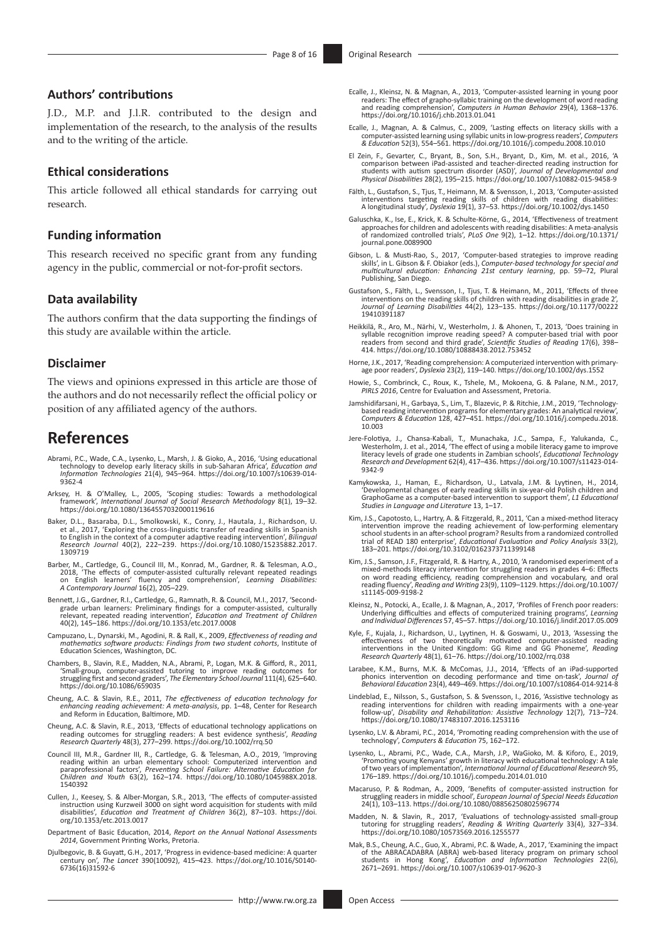#### **Authors' contributions**

J.D., M.P. and J.l.R. contributed to the design and implementation of the research, to the analysis of the results and to the writing of the article.

#### **Ethical considerations**

This article followed all ethical standards for carrying out research.

#### **Funding information**

This research received no specific grant from any funding agency in the public, commercial or not-for-profit sectors.

#### **Data availability**

The authors confirm that the data supporting the findings of this study are available within the article.

#### **Disclaimer**

The views and opinions expressed in this article are those of the authors and do not necessarily reflect the official policy or position of any affiliated agency of the authors.

### **References**

- Abrami, P.C., Wade, C.A., Lysenko, L., Marsh, J. & Gioko, A., 2016, 'Using educational technology to develop early literacy skills in sub-Saharan Africa', *Education and Information Technologies* 21(4), 945–964. [https://doi.org/10.1007/s10639-014-](https://doi.org/10.1007/s10639-014-9362-4) [9362-4](https://doi.org/10.1007/s10639-014-9362-4)
- Arksey, H. & O'Malley, L., 2005, 'Scoping studies: Towards a methodological<br>framework', *International Journal of Social Research Methodology* 8(1), 19–32.<br><https://doi.org/10.1080/1364557032000119616>
- Baker, D.L., Basaraba, D.L., Smolkowski, K., Conry, J., Hautala, J., Richardson, U.<br>et al., 2017, 'Exploring the cross-linguistic transfer of reading skills in Spanish<br>to English in the context of a computer adaptive readi *Research Journal* 40(2), 222–239. [https://doi.org/10.1080/15235882.2017.](https://doi.org/10.1080/15235882.2017.1309719) [1309719](https://doi.org/10.1080/15235882.2017.1309719)
- Barber, M., Cartledge, G., Council III, M., Konrad, M., Gardner, R. & Telesman, A.O., 2018, 'The effects of computer-assisted culturally relevant repeated readings on English learners' fluency and comprehension', *Learning Disabilities: A Contemporary Journal* 16(2), 205–229.
- Bennett, J.G., Gardner, R.I., Cartledge, G., Ramnath, R. & Council, M.I., 2017, 'Secondgrade urban learners: Preliminary findings for a computer-assisted, culturally<br>relevant, repeated reading intervention', *Education and Treatment of Children*<br>40(2), 145–186.<https://doi.org/10.1353/etc.2017.0008>
- Campuzano, L., Dynarski, M., Agodini, R. & Rall, K., 2009, *Effectiveness of reading and mathematics software products: Findings from two student cohorts*, Institute of Education Sciences, Washington, DC.
- Chambers, B., Slavin, R.E., Madden, N.A., Abrami, P., Logan, M.K. & Gifford, R., 2011, 'Small-group, computer-assisted tutoring to improve reading outcomes for struggling first and second graders', The Elementary School Jo
- Cheung, A.C. & Slavin, R.E., 2011, *The effectiveness of education technology for enhancing reading achievement: A meta-analysis*, pp. 1–48, Center for Research and Reform in Education, Baltimore, MD.
- Cheung, A.C. & Slavin, R.E., 2013, 'Effects of educational technology applications on reading outcomes for struggling readers: A best evidence synthesis', *Reading Research Quarterly* 48(3), 277–299. <https://doi.org/10.1002/rrq.50>
- Council III, M.R., Gardner III, R., Cartledge, G. & Telesman, A.O., 2019, 'Improving reading within an urban elementary school: Computerized intervention and paraprofessional factors', *Preventing School Failure: Alternative Education for Children and Youth* 63(2), 162–174. [https://doi.org/10.1080/1045988X.2018.](https://doi.org/10.1080/1045988X.2018.1540392) [1540392](https://doi.org/10.1080/1045988X.2018.1540392)
- Cullen, J., Keesey, S. & Alber-Morgan, S.R., 2013, 'The effects of computer-assisted instruction using Kurzweil 3000 on sight word acquisition for students with mild disabilities', *Education and Treatment of Children* 36(2), 87–103. [https://doi.](https://doi.org/10.1353/etc.2013.0017) [org/10.1353/etc.2013.0017](https://doi.org/10.1353/etc.2013.0017)
- Department of Basic Education, 2014, *Report on the Annual National Assessments 2014*, Government Printing Works, Pretoria.
- Djulbegovic, B. & Guyatt, G.H., 2017, 'Progress in evidence-based medicine: A quarter century on', *The Lancet* 390(10092), 415–423. [https://doi.org/10.1016/S0140-](https://doi.org/10.1016/S0140-6736(16)31592-6) [6736\(16\)31592-6](https://doi.org/10.1016/S0140-6736(16)31592-6)
- Ecalle, J., Kleinsz, N. & Magnan, A., 2013, 'Computer-assisted learning in young poor<br>readers: The effect of grapho-syllabic training on the development of word reading<br>and reading comprehension', Computers in Human Behavi <https://doi.org/10.1016/j.chb.2013.01.041>
- Ecalle, J., Magnan, A. & Calmus, C., 2009, 'Lasting effects on literacy skills with a computer-assisted learning using syllabic units in low-progress readers', *Computers & Education* 52(3), 554–561. <https://doi.org/10.1016/j.compedu.2008.10.010>
- El Zein, F., Gevarter, C., Bryant, B., Son, S.H., Bryant, D., Kim, M. et al., 2016, 'A comparison between iPad-assisted and teacher-directed reading instruction for students with autism spectrum disorder (ASD)', *Journal of Developmental and Physical Disabilities* 28(2), 195–215. <https://doi.org/10.1007/s10882-015-9458-9>
- Fälth, L., Gustafson, S., Tjus, T., Heimann, M. & Svensson, I., 2013, 'Computer-assisted<br>interventions targeting reading skills of children with reading disabilities: interventions targeting reading skills of children with reading disabilities: A longitudinal study', *Dyslexia* 19(1), 37–53.<https://doi.org/10.1002/dys.1450>
- Galuschka, K., Ise, E., Krick, K. & Schulte-Körne, G., 2014, 'Effectiveness of treatment approaches for children and adolescents with reading disabilities: A meta-analysis of randomized controlled trials', *PLoS One* 9(2), 1–12. [https://doi.org/10.1371/](https://doi.org/10.1371/journal.pone.0089900) [journal.pone.0089900](https://doi.org/10.1371/journal.pone.0089900)
- Gibson, L. & Musti-Rao, S., 2017, 'Computer-based strategies to improve reading<br>skils', in L. Gibson & F. Obiakor (eds.), Computer-based technology for special and<br>multicultural education: Enhancing 21st century learning, Publishing, San Diego.
- Gustafson, S., Fälth, L., Svensson, I., Tjus, T. & Heimann, M., 2011, 'Effects of three interventions on the reading skills of children with reading disabilities in grade 2', *Journal of Learning Disabilities* 44(2), 123–135. [https://doi.org/10.1177/00222](https://doi.org/10.1177/0022219410391187) [19410391187](https://doi.org/10.1177/0022219410391187)
- Heikkilä, R., Aro, M., Närhi, V., Westerholm, J. & Ahonen, T., 2013, 'Does training in syllable recognition improve reading speed? A computer-based trial with poor<br>readers from second and third grade', *Scientific Studies of Reading* 17(6), 398–<br>414.<https://doi.org/10.1080/10888438.2012.753452>
- Horne, J.K., 2017, 'Reading comprehension: A computerized intervention with primary<br>age poor readers', *Dyslexia* 23(2), 119–140.<https://doi.org/10.1002/dys.1552>
- Howie, S., Combrinck, C., Roux, K., Tshele, M., Mokoena, G. & Palane, N.M., 2017, *PIRLS 2016*, Centre for Evaluation and Assessment, Pretoria.
- Jamshidifarsani, H., Garbaya, S., Lim, T., Blazevic, P. & Ritchie, J.M., 2019, 'Technology-<br>based reading intervention programs for elementary grades: An analytical review',<br>Computers & Education 128, 427–451. https://doi. [10.003](https://doi.org/10.1016/j.compedu.2018.10.003)
- Jere-Folotiya, J., Chansa-Kabali, T., Munachaka, J.C., Sampa, F., Yalukanda, C., Westerholm, J. et al., 2014, 'The effect of using a mobile literacy game to improve literacy levels of grade one students in Zambian schools' [9342-9](https://doi.org/10.1007/s11423-014-9342-9)
- Kamykowska, J., Haman, E., Richardson, U., Latvala, J.M. & Lyytinen, H., 2014, 'Developmental changes of early reading skills in six-year-old Polish children and GraphoGame as a computer-based intervention to support them', *L1 Educational Studies in Language and Literature* 13, 1–17.
- Kim, J.S., Capotosto, L., Hartry, A. & Fitzgerald, R., 2011, 'Can a mixed-method literacy<br>intervention improve the reading achievement of low-performing elementary<br>school students in an after-school program? Results from a trial of READ 180 enterprise', *Educational Evaluation and Policy Analysis* 33(2), 183–201.<https://doi.org/10.3102/0162373711399148>
- Kim, J.S., Samson, J.F., Fitzgerald, R. & Hartry, A., 2010, 'A randomised experiment of a mixed-methods literacy intervention for struggling readers in grades 4–6: Effects<br>on word reading efficiency, reading comprehension and vocabulary, and oral<br>reading fluency', *Reading and Writing* 23(9), 1109–1129. https:/ [s11145-009-9198-2](https://doi.org/10.1007/s11145-009-9198-2)
- Kleinsz, N., Potocki, A., Ecalle, J. & Magnan, A., 2017, 'Profiles of French poor readers: Underlying difficulties and effects of computerized training programs', *Learning and Individual Differences* 57, 45–57.<https://doi.org/10.1016/j.lindif.2017.05.009>
- Kyle, F., Kujala, J., Richardson, U., Lyytinen, H. & Goswami, U., 2013, 'Assessing the effectiveness of two theoretically motivated computer-assisted reading<br>interventions in the United Kingdom: GG Rime and GG Phoneme', Re *Research Quarterly* 48(1), 61–76.<https://doi.org/10.1002/rrq.038>
- Larabee, K.M., Burns, M.K. & McComas, J.J., 2014, 'Effects of an iPad-supported phonics intervention on decoding performance and time on-task', *Journal of Behavioral Education* 23(4), 449–469.<https://doi.org/10.1007/s10864-014-9214-8>
- Lindeblad, E., Nilsson, S., Gustafson, S. & Svensson, I., 2016, 'Assistive technology as reading interventions for children with reading impairments with a one-year follow-up', *Disability and Rehabilitation: Assistive Technology* 12(7), 713–724. <https://doi.org/10.1080/17483107.2016.1253116>
- Lysenko, L.V. & Abrami, P.C., 2014, 'Promoting reading comprehension with the use of technology', *Computers & Education* 75, 162–172.
- Lysenko, L., Abrami, P.C., Wade, C.A., Marsh, J.P., WaGioko, M. & Kiforo, E., 2019, 'Promoting young Kenyans' growth in literacy with educational technology: A tale<br>of two years of implementation', *International Journal of Educational Research* 95,<br>176–189.<https://doi.org/10.1016/j.compedu.2014.01.010>
- Macaruso, P. & Rodman, A., 2009, 'Benefits of computer-assisted instruction for struggling readers in middle school', *European Journal of Special Needs Education* 24(1), 103–113.<https://doi.org/10.1080/08856250802596774>
- Madden, N. & Slavin, R., 2017, 'Evaluations of technology-assisted small-group tutoring for struggling readers', *Reading & Writing Quarterly* 33(4), 327–334. <https://doi.org/10.1080/10573569.2016.1255577>
- Mak, B.S., Cheung, A.C., Guo, X., Abrami, P.C. & Wade, A., 2017, 'Examining the impact of the ABRACADABRA (ABRA) web-based literacy program on primary school students in Hong Kong', *Education and Information Technologies*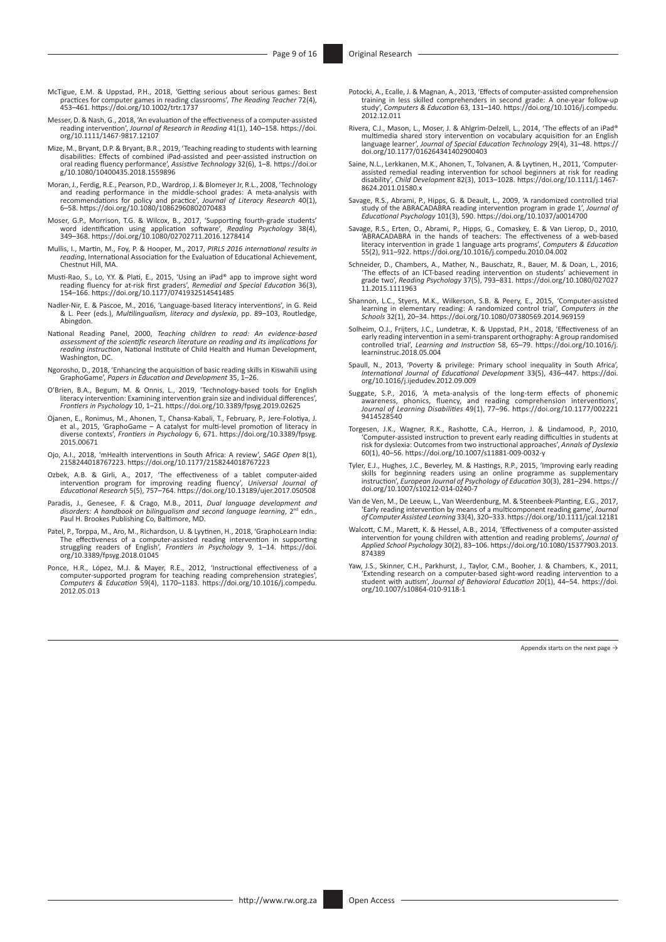- McTigue, E.M. & Uppstad, P.H., 2018, 'Getting serious about serious games: Best practices for computer games in reading classrooms', *The Reading Teacher* 72(4), 453–461. <https://doi.org/10.1002/trtr.1737>
- Messer, D. & Nash, G., 2018, 'An evaluation of the effectiveness of a computer-assisted reading intervention', *Journal of Research in Reading* 41(1), 140–158. [https://doi.](https://doi.org/10.1111/1467-9817.12107) [org/10.1111/1467-9817.12107](https://doi.org/10.1111/1467-9817.12107)
- Mize, M., Bryant, D.P. & Bryant, B.R., 2019, 'Teaching reading to students with learning disabilities: Effects of combined iPad-assisted and peer-assisted instruction on oral reading fluency performance', *Assistive Technology* 32(6), 1–8. [https://doi.or](https://doi.org/10.1080/10400435.2018.1559896) [g/10.1080/10400435.2018.1559896](https://doi.org/10.1080/10400435.2018.1559896)
- Moran, J., Ferdig, R.E., Pearson, P.D., Wardrop, J. & Blomeyer Jr, R.L., 2008, 'Technology and reading performance in the middle-school grades: A meta-analysis with<br>recommendations for policy and practice', Journal of Literacy Research 40(1),<br>6–58.<https://doi.org/10.1080/10862960802070483>
- Moser, G.P., Morrison, T.G. & Wilcox, B., 2017, 'Supporting fourth-grade students' word identification using application software', *Reading Psychology* 38(4), 349–368. <https://doi.org/10.1080/02702711.2016.1278414>
- Mullis, I., Martin, M., Foy, P. & Hooper, M., 2017, *PIRLS 2016 international results in reading*, International Association for the Evaluation of Educational Achievement, Chestnut Hill, MA.
- Musti-Rao, S., Lo, Y.Y. & Plati, E., 2015, 'Using an iPad® app to improve sight word<br>reading fluency for at-risk first graders', Remedial and Special Education 36(3),<br>154–166. <https://doi.org/10.1177/0741932514541485>
- Nadler-Nir, E. & Pascoe, M., 2016, 'Language-based literacy interventions', in G. Reid & L. Peer (eds.), *Multilingualism, literacy and dyslexia*, pp. 89–103, Routledge, Abingdon.
- National Reading Panel, 2000, *Teaching children to read: An evidence-based assessment of the scientific research literature on reading and its implications for reading instruction*, National Institute of Child Health and Human Development, Washington, DC.
- Ngorosho, D., 2018, 'Enhancing the acquisition of basic reading skills in Kiswahili using GraphoGame', *Papers in Education and Development* 35, 1–26.
- O'Brien, B.A., Begum, M. & Onnis, L., 2019, 'Technology-based tools for English literacy intervention: Examining intervention grain size and individual differences', *Frontiers in Psychology* 10, 1–21.<https://doi.org/10.3389/fpsyg.2019.02625>
- Ojanen, E., Ronimus, M., Ahonen, T., Chansa-Kabali, T., February, P., Jere-Folotiya, J.<br>et al., 2015, 'GraphoGame A catalyst for multi-level promotion of literacy in<br>diverse contexts', Frontiers in Psychology 6, 671. htt [2015.00671](https://doi.org/10.3389/fpsyg.2015.00671)
- Ojo, A.I., 2018, 'mHealth interventions in South Africa: A review', *SAGE Open* 8(1), 2158244018767223. <https://doi.org/10.1177/2158244018767223>
- Ozbek, A.B. & Girli, A., 2017, 'The effectiveness of a tablet computer-aided intervention program for improving reading fluency', *Universal Journal of Educational Research* 5(5), 757–764. <https://doi.org/10.13189/ujer.2017.050508>
- Paradis, J., Genesee, F. & Crago, M.B., 2011, *Dual language development and disorders: A handbook on bilingualism and second language learning, 2<sup>nd</sup> edn.,* Paul H. Brookes Publishing Co, Baltimore, MD.
- Patel, P., Torppa, M., Aro, M., Richardson, U. & Lyytinen, H., 2018, 'GraphoLearn India: The effectiveness of a computer-assisted reading intervention in supporting struggling readers of English', *Frontiers in Psychology* 9, 1–14. [https://doi.](https://doi.org/10.3389/fpsyg.2018.01045) [org/10.3389/fpsyg.2018.01045](https://doi.org/10.3389/fpsyg.2018.01045)
- Ponce, H.R., López, M.J. & Mayer, R.E., 2012, 'Instructional effectiveness of a<br>computer-supported program for teaching reading comprehension strategies',<br>Computers & Education 59(4), 1170–1183. https://doi.org/10.1016/j.c [2012.05.013](https://doi.org/10.1016/j.compedu.2012.05.013)
- Potocki, A., Ecalle, J. & Magnan, A., 2013, 'Effects of computer-assisted comprehension training in less skilled comprehenders in second grade: A one-year follow-up study', *Computers & Education* 63, 131–140. [https://doi.org/10.1016/j.compedu.](https://doi.org/10.1016/j.compedu.2012.12.011) [2012.12.011](https://doi.org/10.1016/j.compedu.2012.12.011)
- Rivera, C.J., Mason, L., Moser, J. & Ahlgrim-Delzell, L., 2014, 'The effects of an iPad® multimedia shared story intervention on vocabulary acquisition for an English language learner', *Journal of Special Education Technology* 29(4), 31–48. [https://](https://doi.org/10.1177/016264341402900403) [doi.org/10.1177/016264341402900403](https://doi.org/10.1177/016264341402900403)
- Saine, N.L., Lerkkanen, M.K., Ahonen, T., Tolvanen, A. & Lyytinen, H., 2011, 'Computer‐ assisted remedial reading intervention for school beginners at risk for reading disability', *Child Development* 82(3), 1013–1028. [https://doi.org/10.1111/j.1467-](https://doi.org/10.1111/j.1467-8624.2011.01580.x) [8624.2011.01580.x](https://doi.org/10.1111/j.1467-8624.2011.01580.x)
- Savage, R.S., Abrami, P., Hipps, G. & Deault, L., 2009, 'A randomized controlled trial<br>study of the ABRACADABRA reading intervention program in grade 1', Journal of<br>Educational Psychology 101(3), 590. https://doi.org/10.10
- Savage, R.S., Erten, O., Abrami, P., Hipps, G., Comaskey, E. & Van Lierop, D., 2010, 'ABRACADABRA in the hands of teachers: The effectiveness of a web-based literacy intervention in grade 1 language arts programs', *Computers & Education* 55(2), 911–922.<https://doi.org/10.1016/j.compedu.2010.04.002>
- Schneider, D., Chambers, A., Mather, N., Bauschatz, R., Bauer, M. & Doan, L., 2016,<br>The effects of an ICT-based reading intervention on students' achievement in<br>grade two', Reading Psychology 37(5), 793–831. https://doi.or [11.2015.1111963](https://doi.org/10.1080/02702711.2015.1111963)
- Shannon, L.C., Styers, M.K., Wilkerson, S.B. & Peery, E., 2015, 'Computer-assisted<br>learning in elementary reading: A randomized control trial', Computers in the<br>Schools 32(1), 20–34. https://doi.org/10.1080/07380569.2014.9
- Solheim, O.J., Frijters, J.C., Lundetræ, K. & Uppstad, P.H., 2018, 'Effectiveness of an early reading intervention in a semi-transparent orthography: A group randomised<br>controlled trial/, *Learning and Instruction 58, 65–79. [https://doi.org/10.1016/j.](https://doi.org/10.1016/j.learninstruc.2018.05.004)*<br>[learninstruc.2018.05.004](https://doi.org/10.1016/j.learninstruc.2018.05.004)
- Spaull, N., 2013, 'Poverty & privilege: Primary school inequality in South Africa', *International Journal of Educational Development* 33(5), 436–447. [https://doi.](https://doi.org/10.1016/j.ijedudev.2012.09.009) [org/10.1016/j.ijedudev.2012.09.009](https://doi.org/10.1016/j.ijedudev.2012.09.009)
- Suggate, S.P., 2016, 'A meta-analysis of the long-term effects of phonemic<br>avareness, phonics, fluency, and reading comprehension interventions',<br>Journal of Learning Disabilities 49(1), 77–96. https://doi.org/10.1177/00222 [9414528540](https://doi.org/10.1177/0022219414528540)
- Torgesen, J.K., Wagner, R.K., Rashotte, C.A., Herron, J. & Lindamood, P., 2010, 'Computer-assisted instruction to prevent early reading difficulties in students at risk for dyslexia: Outcomes from two instructional approaches', *Annals of Dyslexia* 60(1), 40–56.<https://doi.org/10.1007/s11881-009-0032-y>
- Tyler, E.J., Hughes, J.C., Beverley, M. & Hastings, R.P., 2015, 'Improving early reading skills for beginning readers using an online programme as supplementary instruction', *European Journal of Psychology of Education* 30(3), 281–294. [https://](https://doi.org/10.1007/s10212-014-0240-7) [doi.org/10.1007/s10212-014-0240-7](https://doi.org/10.1007/s10212-014-0240-7)
- Van de Ven, M., De Leeuw, L., Van Weerdenburg, M. & Steenbeek-Planting, E.G., 2017, 'Early reading intervention by means of a multicomponent reading game', *Journal of Computer Assisted Learning* 33(4), 320–333.<https://doi.org/10.1111/jcal.12181>
- Walcott, C.M., Marett, K. & Hessel, A.B., 2014, 'Effectiveness of a computer-assisted<br>intervention for young children with attention and reading problems', Journal of<br>Applied School Psychology 30(2), 83-106. https://doi.or [874389](https://doi.org/10.1080/15377903.2013.874389)
- Yaw, J.S., Skinner, C.H., Parkhurst, J., Taylor, C.M., Booher, J. & Chambers, K., 2011, 'Extending research on a computer-based sight-word reading intervention to a student with autism', *Journal of Behavioral Education* 20(1), 44–54. [https://doi.](https://doi.org/10.1007/s10864-010-9118-1) [org/10.1007/s10864-010-9118-1](https://doi.org/10.1007/s10864-010-9118-1)

Appendix starts on the next page  $\rightarrow$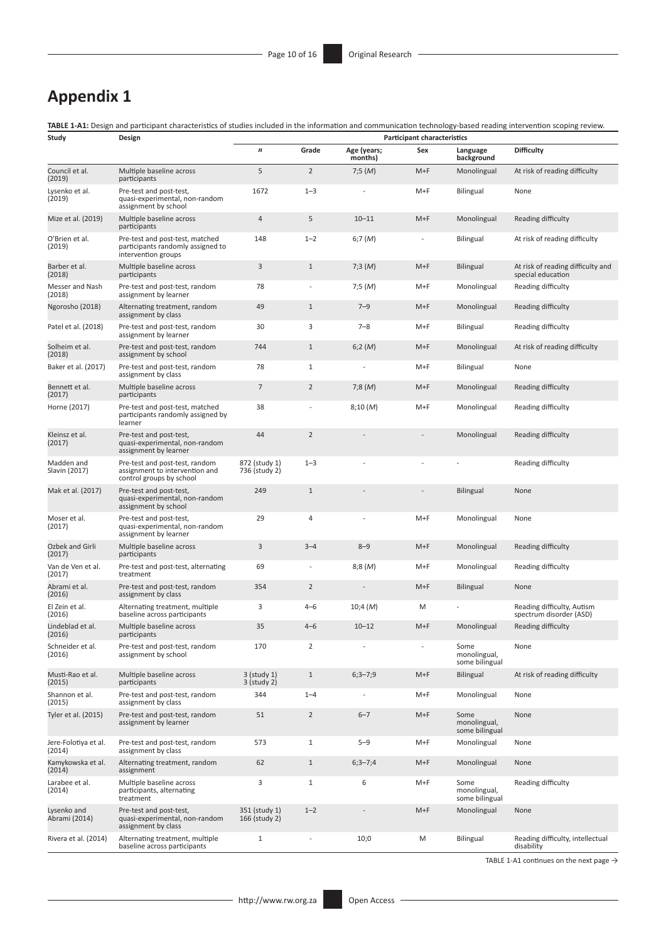# **Appendix 1**

**TABLE 1-A1:** Design and participant characteristics of studies included in the information and communication technology-based reading intervention scoping review.

| Study                          | Design                                                                                       |                                |                |                        | <b>Participant characteristics</b> |                                        |                                                        |
|--------------------------------|----------------------------------------------------------------------------------------------|--------------------------------|----------------|------------------------|------------------------------------|----------------------------------------|--------------------------------------------------------|
|                                |                                                                                              | $\boldsymbol{n}$               | Grade          | Age (years;<br>months) | Sex                                | Language<br>background                 | <b>Difficulty</b>                                      |
| Council et al.<br>(2019)       | Multiple baseline across<br>participants                                                     | 5                              | $\overline{2}$ | 7;5(M)                 | $M+F$                              | Monolingual                            | At risk of reading difficulty                          |
| Lysenko et al.<br>(2019)       | Pre-test and post-test,<br>quasi-experimental, non-random<br>assignment by school            | 1672                           | $1 - 3$        |                        | $M+F$                              | Bilingual                              | None                                                   |
| Mize et al. (2019)             | Multiple baseline across<br>participants                                                     | 4                              | 5              | $10 - 11$              | $M+F$                              | Monolingual                            | Reading difficulty                                     |
| O'Brien et al.<br>(2019)       | Pre-test and post-test, matched<br>participants randomly assigned to<br>intervention groups  | 148                            | $1 - 2$        | 6;7 $(M)$              |                                    | <b>Bilingual</b>                       | At risk of reading difficulty                          |
| Barber et al.<br>(2018)        | Multiple baseline across<br>participants                                                     | 3                              | $\mathbf{1}$   | 7;3 (M)                | $M+F$                              | <b>Bilingual</b>                       | At risk of reading difficulty and<br>special education |
| Messer and Nash<br>(2018)      | Pre-test and post-test, random<br>assignment by learner                                      | 78                             |                | 7;5(M)                 | $M+F$                              | Monolingual                            | Reading difficulty                                     |
| Ngorosho (2018)                | Alternating treatment, random<br>assignment by class                                         | 49                             | $\mathbf{1}$   | $7 - 9$                | $M+F$                              | Monolingual                            | Reading difficulty                                     |
| Patel et al. (2018)            | Pre-test and post-test, random<br>assignment by learner                                      | 30                             | 3              | $7 - 8$                | $M+F$                              | <b>Bilingual</b>                       | Reading difficulty                                     |
| Solheim et al.<br>(2018)       | Pre-test and post-test, random<br>assignment by school                                       | 744                            | $\mathbf{1}$   | 6;2(M)                 | $M+F$                              | Monolingual                            | At risk of reading difficulty                          |
| Baker et al. (2017)            | Pre-test and post-test, random<br>assignment by class                                        | 78                             | $\mathbf{1}$   |                        | $M+F$                              | Bilingual                              | None                                                   |
| Bennett et al.<br>(2017)       | Multiple baseline across<br>participants                                                     | $\overline{7}$                 | $\overline{2}$ | 7;8(M)                 | $M+F$                              | Monolingual                            | Reading difficulty                                     |
| Horne (2017)                   | Pre-test and post-test, matched<br>participants randomly assigned by<br>learner              | 38                             |                | 8;10(M)                | $M+F$                              | Monolingual                            | Reading difficulty                                     |
| Kleinsz et al.<br>(2017)       | Pre-test and post-test,<br>quasi-experimental, non-random<br>assignment by learner           | 44                             | $\overline{2}$ |                        | $\overline{\phantom{a}}$           | Monolingual                            | Reading difficulty                                     |
| Madden and<br>Slavin (2017)    | Pre-test and post-test, random<br>assignment to intervention and<br>control groups by school | 872 (study 1)<br>736 (study 2) | $1 - 3$        |                        |                                    |                                        | Reading difficulty                                     |
| Mak et al. (2017)              | Pre-test and post-test,<br>quasi-experimental, non-random<br>assignment by school            | 249                            | $\mathbf{1}$   |                        |                                    | <b>Bilingual</b>                       | None                                                   |
| Moser et al.<br>(2017)         | Pre-test and post-test,<br>quasi-experimental, non-random<br>assignment by learner           | 29                             | $\overline{4}$ |                        | $M+F$                              | Monolingual                            | None                                                   |
| Ozbek and Girli<br>(2017)      | Multiple baseline across<br>participants                                                     | 3                              | $3 - 4$        | $8 - 9$                | $M+F$                              | Monolingual                            | Reading difficulty                                     |
| Van de Ven et al.<br>(2017)    | Pre-test and post-test, alternating<br>treatment                                             | 69                             | $\overline{a}$ | 8;8 (M)                | $M+F$                              | Monolingual                            | Reading difficulty                                     |
| Abrami et al.<br>(2016)        | Pre-test and post-test, random<br>assignment by class                                        | 354                            | $\overline{2}$ |                        | $M+F$                              | <b>Bilingual</b>                       | None                                                   |
| El Zein et al.<br>(2016)       | Alternating treatment, multiple<br>baseline across participants                              | 3                              | $4 - 6$        | 10;4 (M)               | M                                  |                                        | Reading difficulty, Autism<br>spectrum disorder (ASD)  |
| Lindeblad et al.<br>(2016)     | Multiple baseline across<br>participants                                                     | 35                             | $4 - 6$        | $10 - 12$              | $M+F$                              | Monolingual                            | Reading difficulty                                     |
| Schneider et al.<br>(2016)     | Pre-test and post-test, random<br>assignment by school                                       | 170                            | $\overline{2}$ |                        |                                    | Some<br>monolingual,<br>some bilingual | None                                                   |
| Musti-Rao et al.<br>(2015)     | Multiple baseline across<br>participants                                                     | 3 (study 1)<br>3 (study 2)     | $\mathbf{1}$   | $6;3 - 7;9$            | $M+F$                              | <b>Bilingual</b>                       | At risk of reading difficulty                          |
| Shannon et al.<br>(2015)       | Pre-test and post-test, random<br>assignment by class                                        | 344                            | $1 - 4$        |                        | M+F                                | Monolingual                            | None                                                   |
| Tyler et al. (2015)            | Pre-test and post-test, random<br>assignment by learner                                      | 51                             | $\overline{2}$ | $6 - 7$                | $M+F$                              | Some<br>monolingual,<br>some bilingual | None                                                   |
| Jere-Folotiya et al.<br>(2014) | Pre-test and post-test, random<br>assignment by class                                        | 573                            | $\mathbf{1}$   | $5 - 9$                | $M+F$                              | Monolingual                            | None                                                   |
| Kamykowska et al.<br>(2014)    | Alternating treatment, random<br>assignment                                                  | 62                             | $\mathbf{1}$   | $6;3 - 7;4$            | $M+F$                              | Monolingual                            | None                                                   |
| Larabee et al.<br>(2014)       | Multiple baseline across<br>participants, alternating<br>treatment                           | 3                              | $\mathbf{1}$   | 6                      | $M+F$                              | Some<br>monolingual,<br>some bilingual | Reading difficulty                                     |
| Lysenko and<br>Abrami (2014)   | Pre-test and post-test,<br>quasi-experimental, non-random<br>assignment by class             | 351 (study 1)<br>166 (study 2) | $1 - 2$        |                        | $M+F$                              | Monolingual                            | None                                                   |
| Rivera et al. (2014)           | Alternating treatment, multiple<br>baseline across participants                              | $\mathbf{1}$                   |                | 10;0                   | M                                  | Bilingual                              | Reading difficulty, intellectual<br>disability         |

TABLE 1-A1 continues on the next page  $\rightarrow$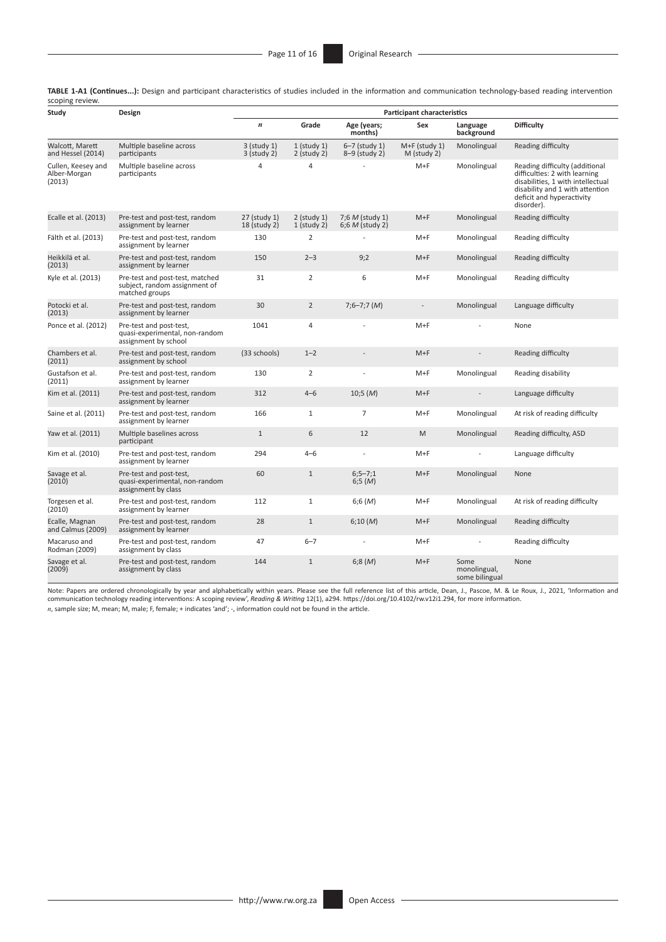**TABLE 1-A1 (Continues...):** Design and participant characteristics of studies included in the information and communication technology-based reading intervention scoping review.

| Study                                        | Design                                                                             |                                |                                |                                      | <b>Participant characteristics</b> |                                        |                                                                                                                                                                                    |
|----------------------------------------------|------------------------------------------------------------------------------------|--------------------------------|--------------------------------|--------------------------------------|------------------------------------|----------------------------------------|------------------------------------------------------------------------------------------------------------------------------------------------------------------------------------|
|                                              |                                                                                    | $\boldsymbol{n}$               | Grade                          | Age (years;<br>months)               | Sex                                | Language<br>background                 | <b>Difficulty</b>                                                                                                                                                                  |
| Walcott, Marett<br>and Hessel (2014)         | Multiple baseline across<br>participants                                           | $3$ (study 1)<br>$3$ (study 2) | $1$ (study 1)<br>$2$ (study 2) | $6-7$ (study 1)<br>8-9 (study 2)     | $M+F$ (study 1)<br>M (study 2)     | Monolingual                            | Reading difficulty                                                                                                                                                                 |
| Cullen, Keesey and<br>Alber-Morgan<br>(2013) | Multiple baseline across<br>participants                                           | 4                              | 4                              |                                      | $M+F$                              | Monolingual                            | Reading difficulty (additional<br>difficulties: 2 with learning<br>disabilities, 1 with intellectual<br>disability and 1 with attention<br>deficit and hyperactivity<br>disorder). |
| Ecalle et al. (2013)                         | Pre-test and post-test, random<br>assignment by learner                            | 27 (study 1)<br>18 (study 2)   | $2$ (study 1)<br>$1$ (study 2) | 7;6 M (study 1)<br>$6:6 M$ (study 2) | $M+F$                              | Monolingual                            | Reading difficulty                                                                                                                                                                 |
| Fälth et al. (2013)                          | Pre-test and post-test, random<br>assignment by learner                            | 130                            | $\overline{2}$                 |                                      | $M+F$                              | Monolingual                            | Reading difficulty                                                                                                                                                                 |
| Heikkilä et al.<br>(2013)                    | Pre-test and post-test, random<br>assignment by learner                            | 150                            | $2 - 3$                        | 9;2                                  | $M+F$                              | Monolingual                            | Reading difficulty                                                                                                                                                                 |
| Kyle et al. (2013)                           | Pre-test and post-test, matched<br>subject, random assignment of<br>matched groups | 31                             | $\overline{2}$                 | 6                                    | $M+F$                              | Monolingual                            | Reading difficulty                                                                                                                                                                 |
| Potocki et al.<br>(2013)                     | Pre-test and post-test, random<br>assignment by learner                            | 30                             | $\overline{2}$                 | $7;6 - 7;7 (M)$                      | $\overline{\phantom{a}}$           | Monolingual                            | Language difficulty                                                                                                                                                                |
| Ponce et al. (2012)                          | Pre-test and post-test,<br>quasi-experimental, non-random<br>assignment by school  | 1041                           | $\overline{4}$                 |                                      | $M+F$                              |                                        | None                                                                                                                                                                               |
| Chambers et al.<br>(2011)                    | Pre-test and post-test, random<br>assignment by school                             | (33 schools)                   | $1 - 2$                        | $\overline{a}$                       | $M+F$                              | $\overline{a}$                         | Reading difficulty                                                                                                                                                                 |
| Gustafson et al.<br>(2011)                   | Pre-test and post-test, random<br>assignment by learner                            | 130                            | $\overline{2}$                 | ÷                                    | $M+F$                              | Monolingual                            | Reading disability                                                                                                                                                                 |
| Kim et al. (2011)                            | Pre-test and post-test, random<br>assignment by learner                            | 312                            | $4 - 6$                        | 10;5(M)                              | $M+F$                              |                                        | Language difficulty                                                                                                                                                                |
| Saine et al. (2011)                          | Pre-test and post-test, random<br>assignment by learner                            | 166                            | $\mathbf{1}$                   | $\overline{7}$                       | $M+F$                              | Monolingual                            | At risk of reading difficulty                                                                                                                                                      |
| Yaw et al. (2011)                            | Multiple baselines across<br>participant                                           | $\mathbf{1}$                   | 6                              | 12                                   | M                                  | Monolingual                            | Reading difficulty, ASD                                                                                                                                                            |
| Kim et al. (2010)                            | Pre-test and post-test, random<br>assignment by learner                            | 294                            | $4 - 6$                        |                                      | $M+F$                              |                                        | Language difficulty                                                                                                                                                                |
| Savage et al.<br>(2010)                      | Pre-test and post-test,<br>quasi-experimental, non-random<br>assignment by class   | 60                             | $\mathbf{1}$                   | $6;5 - 7;1$<br>6;5(M)                | $M+F$                              | Monolingual                            | None                                                                                                                                                                               |
| Torgesen et al.<br>(2010)                    | Pre-test and post-test, random<br>assignment by learner                            | 112                            | $\mathbf{1}$                   | 6;6(M)                               | $M+F$                              | Monolingual                            | At risk of reading difficulty                                                                                                                                                      |
| Ecalle, Magnan<br>and Calmus (2009)          | Pre-test and post-test, random<br>assignment by learner                            | 28                             | $\mathbf{1}$                   | 6;10(M)                              | $M+F$                              | Monolingual                            | Reading difficulty                                                                                                                                                                 |
| Macaruso and<br>Rodman (2009)                | Pre-test and post-test, random<br>assignment by class                              | 47                             | $6 - 7$                        |                                      | $M+F$                              |                                        | Reading difficulty                                                                                                                                                                 |
| Savage et al.<br>(2009)                      | Pre-test and post-test, random<br>assignment by class                              | 144                            | $\mathbf{1}$                   | 6:8(M)                               | $M+F$                              | Some<br>monolingual,<br>some bilingual | None                                                                                                                                                                               |

Note: Papers are ordered chronologically by year and alphabetically within years. Please see the full reference list of this article, Dean, J., Pascoe, M. & Le Roux, J., 2021, 'Information and<br>communication technology read *n*, sample size; M, mean; M, male; F, female; + indicates 'and'; -, information could not be found in the article.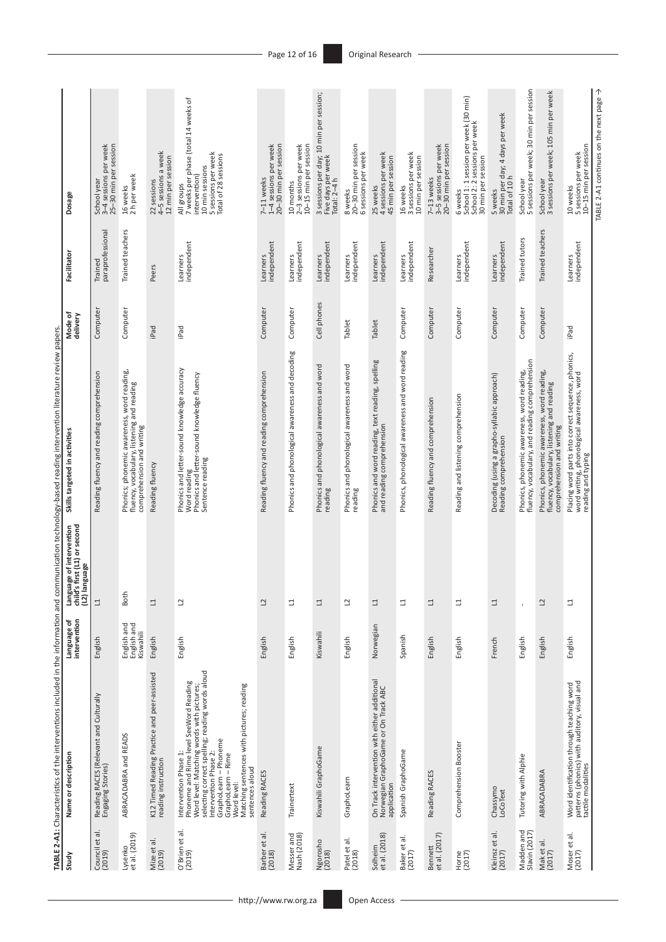| J<br>Ē                      |                                                                                                                                                                                                                                                                                                                        |                                         | Ì                                                                                                 | וגם<br>כ                                                                                                                      |                     |                             |                                                                                                                                       |
|-----------------------------|------------------------------------------------------------------------------------------------------------------------------------------------------------------------------------------------------------------------------------------------------------------------------------------------------------------------|-----------------------------------------|---------------------------------------------------------------------------------------------------|-------------------------------------------------------------------------------------------------------------------------------|---------------------|-----------------------------|---------------------------------------------------------------------------------------------------------------------------------------|
| Study                       | Name or description                                                                                                                                                                                                                                                                                                    | intervention<br>Language of             | first (L1) or second<br>Language of intervention<br>child's first (L1) or second<br>(L2) language | Skills targeted in activities                                                                                                 | Mode of<br>delivery | Facilitator                 | Dosage                                                                                                                                |
| ᅙ<br>Council et<br>(2019)   | Reading RACES (Relevant and Culturally<br>Engaging Stories)                                                                                                                                                                                                                                                            | English                                 | $\Box$                                                                                            | Reading fluency and reading comprehension                                                                                     | Computer            | paraprofessional<br>Trained | School year<br>3–4 sessions per week<br>25–30 min per session                                                                         |
| Lysenko<br>et al. (2019)    | ABRACADABRA and READS                                                                                                                                                                                                                                                                                                  | English and<br>English and<br>Kiswahili | Both                                                                                              | Phonics; phonemic awareness, word reading,<br>fluency, vocabulary, listening and reading<br>comprehension and writing         | Computer            | Trained teachers            | 16 weeks<br>2 h per week                                                                                                              |
| Mize et al.<br>(2019)       | K12 Timed Reading Practice and peer-assisted<br>reading instruction                                                                                                                                                                                                                                                    | English                                 | $\Box$                                                                                            | Reading fluency                                                                                                               | iPad                | Peers                       | 22 sessions<br>4–5 sessions a week<br>12 min per session                                                                              |
| O'Brien et al.<br>(2019)    | selecting correct spelling; reading words aloud<br>Phoneme and Rime level SeeWord Reading<br>Matching sentences with pictures; reading<br>Word level: Matching words with pictures;<br>GraphoLearn - Phoneme<br>Intervention Phase 1:<br>Intervention Phase 2:<br>GraphoLearn – Rime<br>Word level:<br>sentences aloud | English                                 | 2                                                                                                 | Phonics and letter-sound knowledge accuracy<br>Word reading<br>Phonics and letter-sound knowledge fluency<br>Sentence reading | iPad                | Learners<br>independent     | 7 weeks per phase (total 14 weeks of<br>5 sessions per week<br>Total of 28 sessions<br>10 min sessions<br>intervention)<br>All groups |
| Barber et al.<br>(2018)     | Reading RACES                                                                                                                                                                                                                                                                                                          | English                                 | $\overline{c}$                                                                                    | Reading fluency and reading comprehension                                                                                     | Computer            | independent<br>Learners     | 1-4 sessions per week<br>20-30 min per session<br>7-11 weeks                                                                          |
| Messer and<br>Nash (2018)   | Trainertext                                                                                                                                                                                                                                                                                                            | English                                 | ₫                                                                                                 | Phonics and phonological awareness and decoding                                                                               | Computer            | independent<br>Learners     | 2-3 sessions per week<br>10-15 min per session<br>10 months                                                                           |
| Ngorosho<br>(2018)          | Kiswahili GraphoGame                                                                                                                                                                                                                                                                                                   | Kiswahili                               | $\Box$                                                                                            | Phonics and phonological awareness and word<br>reading                                                                        | Cell phones         | independent<br>Learners     | 3 sessions per day; 10 min per session;<br>Five days per week<br>Total: 2–4 h                                                         |
| Patel et al.<br>(2018)      | GraphoLearn                                                                                                                                                                                                                                                                                                            | English                                 | 2                                                                                                 | Phonics and phonological awareness and word<br>reading                                                                        | <b>Tablet</b>       | independent<br>Learners     | 20-30 min per session<br>6 sessions per week<br>8 weeks                                                                               |
| Solheim<br>et al. (2018)    | On Track intervention with either additional<br>Norwegian GraphoGame or On Track ABC<br>application                                                                                                                                                                                                                    | Norwegian                               | $\Box$                                                                                            | Phonics and word reading, text reading, spelling<br>and reading comprehension                                                 | Tablet              | independent<br>Learners     | 4 sessions per week<br>45 min per session<br>25 weeks                                                                                 |
| Baker et al.<br>(2017)      | Spanish GraphoGame                                                                                                                                                                                                                                                                                                     | Spanish                                 | ⊒                                                                                                 | Phonics, phonological awareness and word reading                                                                              | Computer            | independent<br>Learners     | 3 sessions per week<br>10 min per session<br>16 weeks                                                                                 |
| Bennett<br>et al. (2017)    | Reading RACES                                                                                                                                                                                                                                                                                                          | English                                 | $\Box$                                                                                            | Reading fluency and comprehension                                                                                             | Computer            | Researcher                  | 3-5 sessions per week<br>20-30 min per session<br>7-13 weeks                                                                          |
| Horne<br>(2017)             | Comprehension Booster                                                                                                                                                                                                                                                                                                  | English                                 | ⊒                                                                                                 | Reading and listening comprehension                                                                                           | Computer            | Learners<br>independent     | 6 weeks<br>School 1: 1 session per week (30 min)<br>School 2: 2 sessions per week<br>30 min per session                               |
| Kleinsz et al.<br>(2017)    | Chassymo<br>LoCoText                                                                                                                                                                                                                                                                                                   | French                                  | $\Box$                                                                                            | Decoding (using a grapho-syllabic approach)<br>Reading comprehension                                                          | Computer            | independent<br>Learners     | 30 min per day; 4 days per week<br>Total of 10 h<br>5 weeks                                                                           |
| Madden and<br>Slavin (2017) | Tutoring with Alphie                                                                                                                                                                                                                                                                                                   | English                                 | $\overline{\phantom{a}}$                                                                          | fluency, vocabulary, and reading comprehension<br>Phonics, phonemic awareness, word reading,                                  | Computer            | Trained tutors              | 5 sessions per week; 30 min per session<br>School year                                                                                |
| Mak et al<br>(2017)         | ABRACADABRA                                                                                                                                                                                                                                                                                                            | English                                 | $\overline{c}$                                                                                    | Phonics, phonemic awareness, word reading,<br>fluency, vocabulary, listening and reading<br>comprehension and writing         | Computer            | Trained teachers            | 3 sessions per week; 105 min per week<br>School year                                                                                  |
| Moser et al.<br>(2017)      | Word identification through teaching word<br>patterns (phonics) with auditory, visual and<br>tactile modalities                                                                                                                                                                                                        | English                                 | ⊒                                                                                                 | Placing word parts into correct sequence, phonics,<br>word writing, phonological awareness, word<br>reading and typing        | iPad                | Learners<br>independent     | 10-15 min per session<br>10 weeks<br>5 sessions per week                                                                              |
|                             |                                                                                                                                                                                                                                                                                                                        |                                         |                                                                                                   |                                                                                                                               |                     |                             | TABLE 2-A1 continues on the next page >                                                                                               |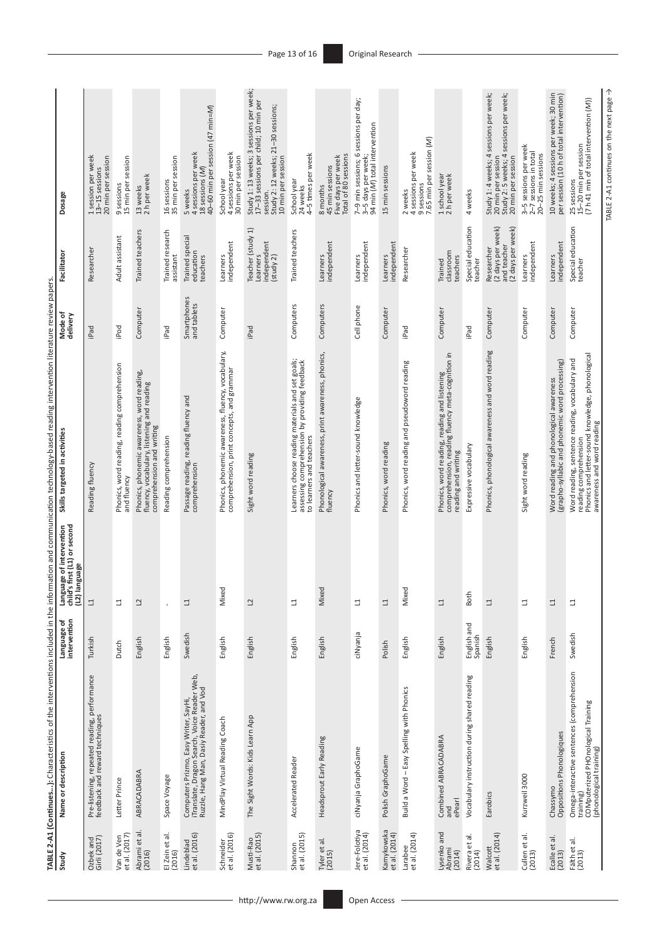| Study                           | Name or description                                                                                                              | Language of<br>intervention |                                                                                      | Skills targeted in activities                                                                                                                             | Mode of                    | Facilitator                                                         | Dosage                                                                                                                                                 |
|---------------------------------|----------------------------------------------------------------------------------------------------------------------------------|-----------------------------|--------------------------------------------------------------------------------------|-----------------------------------------------------------------------------------------------------------------------------------------------------------|----------------------------|---------------------------------------------------------------------|--------------------------------------------------------------------------------------------------------------------------------------------------------|
|                                 |                                                                                                                                  |                             | Language of intervention<br>child's first (L1) or second<br>(L2) language<br>anguage |                                                                                                                                                           | delivery                   |                                                                     |                                                                                                                                                        |
| Ozbek and<br>Girli (2017)       | Pre-listening, repeated reading, performance<br>feedback and reward techniques                                                   | Turkish                     | ⊒                                                                                    | Reading fluency                                                                                                                                           | iPad                       | Researcher                                                          | session per week<br>20 min per session<br>13-15 sessions                                                                                               |
| Van de Ven<br>et al. (2017)     | Letter Prince                                                                                                                    | Dutch                       | 급                                                                                    | Phonics, word reading, reading comprehension<br>and fluency                                                                                               | iPod                       | Adult assistant                                                     | 15 min per session<br>9 sessions                                                                                                                       |
| Abrami et al.<br>(2016)         | ABRACADABRA                                                                                                                      | English                     | $\mathbf{C}$                                                                         | Phonics, phonemic awareness, word reading,<br>fluency, vocabulary, listening and reading<br>comprehension and writing                                     | Computer                   | Trained teachers                                                    | 13 weeks<br>2 h per week                                                                                                                               |
| El Zein et al.<br>(2016)        | Space Voyage                                                                                                                     | English                     | $\mathbf{r}$                                                                         | Reading comprehension                                                                                                                                     | iPad                       | Trained research<br>assistant                                       | 16 sessions<br>35 min per session                                                                                                                      |
| et al. (2016)<br>Lindeblad      | Computers Prizmo, Easy Writer, SayHi,<br>iTranslate, Dragon Search, Voice Reader Web,<br>Ruzzle, Hang Man, Dasiy Reader, and Vod | Swedish                     | $\Box$                                                                               | Passage reading, reading fluency and<br>comprehension                                                                                                     | Smartphones<br>and tablets | Trained special<br>education<br>teachers                            | 40-60 min per session (47 min=M)<br>4 sessions per week<br>18 sessions (M)<br>5 weeks                                                                  |
| et al. (2016)<br>Schneider      | MindPlay Virtual Reading Coach                                                                                                   | English                     | Mixed                                                                                | Phonics, phonemic awareness, fluency, vocabulary,<br>comprehension, print concepts, and grammar                                                           | Computer                   | independent<br>Learners                                             | 4 sessions per week<br>30 min per session<br>School year                                                                                               |
| Musti-Rao<br>et al. (2015)      | The Sight Words: Kids Learn App                                                                                                  | English                     | $\overline{c}$                                                                       | Sight word reading                                                                                                                                        | iPad                       | Teacher (study 1)<br>independent<br>(study 2)<br>Learners           | Study 1:13 weeks; 3 sessions per week;<br>17-33 sessions per child; 10 min per<br>session.<br>Study 2: 12 weeks; 21–30 sessions;<br>10 min per session |
| et al. (2015)<br>Shannon        | Accelerated Reader                                                                                                               | English                     | ₫                                                                                    | Learners choose reading materials and set goals;<br>assessing comprehension by providing feedback<br>to learners and teachers                             | Computers                  | Trained teachers                                                    | 4-5 times per week<br>School year<br>24 weeks                                                                                                          |
| Tyler et al.<br>(2015)          | Headsprout Early Reading                                                                                                         | English                     | Mixed                                                                                | Phonological awareness, print awareness, phonics,<br>fluency                                                                                              | Computers                  | independent<br>Learners                                             | Total of 80 sessions<br>Five days per week<br>45 min sessions<br>8 months                                                                              |
| Jere-Folotiya<br>et al. (2014)  | ci Nyanja GraphoGame                                                                                                             | ciNyanja                    | ⊒                                                                                    | Phonics and letter-sound knowledge                                                                                                                        | Cell phone                 | independent<br>Learners                                             | 7-9 min sessions; 6 sessions per day;<br>94 min (M) total intervention<br>3-5 days per week;                                                           |
| Kamykowska<br>et al. (2014)     | Polish GraphoGame                                                                                                                | Polish                      | 그                                                                                    | Phonics, word reading                                                                                                                                     | Computer                   | independent<br>Learners                                             | 15 min sessions                                                                                                                                        |
| et al. (2014)<br>Larabee        | Build a Word - Easy Spelling with Phonics                                                                                        | English                     | Mixed                                                                                | Phonics, word reading and pseudoword reading                                                                                                              | <b>Pad</b>                 | Researcher                                                          | 9 sessions<br>7.65 min per session (M)<br>4 sessions per week<br>2 weeks                                                                               |
| Lysenko and<br>Abrami<br>(2014) | Combined ABRACADABRA<br>ePearl<br>and                                                                                            | English                     | $\Box$                                                                               | Phonics, word reading, reading and listening<br>comprehension, reading fluency meta-cognition in<br>reading and writing                                   | Computer                   | classroom<br>teachers<br>Trained                                    | 1 school year<br>2 h per week                                                                                                                          |
| Rivera et al.<br>(2014)         | Vocabulary instruction during shared reading                                                                                     | English and<br>Spanish      | Both                                                                                 | Expressive vocabulary                                                                                                                                     | Pad                        | Special education<br>teacher                                        | 4 weeks                                                                                                                                                |
| et al. (2014)<br>Walcott        | Earobics                                                                                                                         | English                     | 그                                                                                    | Phonics, phonological awareness and word reading                                                                                                          | Computer                   | (2 days per week)<br>and teacher<br>(2 days per week)<br>Researcher | Study 1: 4 weeks; 4 sessions per week;<br>20 min per session<br>Study 2: 5 weeks; 4 sessions per week;<br>20 min per session                           |
| Cullen et al.<br>(2013)         | Kurzweil 3000                                                                                                                    | English                     | ∃                                                                                    | Sight word reading                                                                                                                                        | Computer                   | independent<br>Learners                                             | 3-5 sessions per week<br>2-7 sessions in total<br>20-25 min sessions                                                                                   |
| Ecalle et al.<br>(2013)         | Oppositions Phonologiques<br>Chassymo                                                                                            | French                      | ⊒                                                                                    | (grapho-syllabic and phonemic word processing)<br>Word reading and phonological awareness                                                                 | Computer                   | independent<br>Learners                                             | 10 weeks; 4 sessions per week; 30 min<br>per session (10 h of total intervention)                                                                      |
| Fälth et al.<br>(2013)          | Omega-interactive sentences (comprehension<br>training)<br>COMputerized PHOnological Training<br>(phonological training)         | Swedish                     | 그                                                                                    | reading comprehension<br>Phonics and letter-sound knowledge, phonological<br>Word reading, sentence reading, vocabulary and<br>awareness and word reading | Computer                   | Special education<br>teacher                                        | $(7 h 41 min of total intervention (M))$<br>25 sessions<br>15–20 min per session                                                                       |
|                                 |                                                                                                                                  |                             |                                                                                      |                                                                                                                                                           |                            |                                                                     | TABLE 2-A1 continues on the next page →                                                                                                                |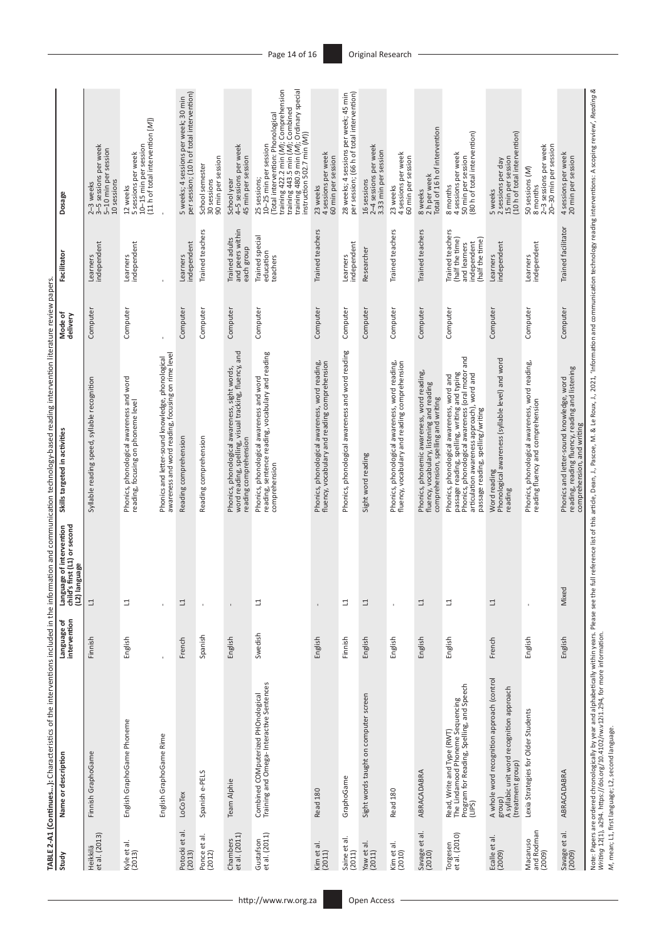| Study                            | Name or description                                                                                                                                                                                                                       | Language of<br>intervention | Language of intervention<br>child's first (L1) or second<br>(L2) language | Skills targeted in activities                                                                                                                                                                                                       | Mode of<br>delivery | Facilitator                                                                           | Dosage                                                                                                                                                                                                                            |
|----------------------------------|-------------------------------------------------------------------------------------------------------------------------------------------------------------------------------------------------------------------------------------------|-----------------------------|---------------------------------------------------------------------------|-------------------------------------------------------------------------------------------------------------------------------------------------------------------------------------------------------------------------------------|---------------------|---------------------------------------------------------------------------------------|-----------------------------------------------------------------------------------------------------------------------------------------------------------------------------------------------------------------------------------|
| Heikkilä<br>et al. (2013)        | Finnish GraphoGame                                                                                                                                                                                                                        | Finnish                     | $\Box$                                                                    | Syllable reading speed, syllable recognition                                                                                                                                                                                        | Computer            | independent<br>Learners                                                               | 2–3 weeks<br>3–5 sessions per week<br>5-10 min per session<br>10 sessions                                                                                                                                                         |
| Kyle et al.<br>(2013)            | English GraphoGame Phoneme                                                                                                                                                                                                                | English                     | 급                                                                         | Phonics, phonological awareness and word<br>reading, focusing on phoneme level                                                                                                                                                      | Computer            | Learners<br>independent                                                               | $(11$ h of total intervention $[M]$ )<br>10-15 min per session<br>5 sessions per week<br>12 weeks                                                                                                                                 |
|                                  | English GraphoGame Rime                                                                                                                                                                                                                   |                             | $\mathbf{I}$                                                              | awareness and word reading, focusing on rime level<br>Phonics and letter-sound knowledge, phonological                                                                                                                              |                     |                                                                                       |                                                                                                                                                                                                                                   |
| Potocki et al.<br>(2013)         | LoCoTex                                                                                                                                                                                                                                   | French                      | ⊐                                                                         | Reading comprehension                                                                                                                                                                                                               | Computer            | independent<br>Learners                                                               | 5 weeks; 4 sessions per week; 30 min<br>per session; (10 h of total intervention)                                                                                                                                                 |
| Ponce et al.<br>(2012)           | Spanish e-PELS                                                                                                                                                                                                                            | Spanish                     |                                                                           | Reading comprehension                                                                                                                                                                                                               | Computer            | Trained teachers                                                                      | 90 min per session<br>School semester<br>30 sessions                                                                                                                                                                              |
| et al. (2011)<br>Chambers        | Team Alphie                                                                                                                                                                                                                               | English                     | $\,$ i                                                                    | and<br>word reading, spelling, visual tracking, fluency,<br>Phonics, phonological awareness, sight words,<br>reading comprehension                                                                                                  | Computer            | and peers within<br>Trained adults<br>each group                                      | 4-5 sessions per week<br>45 min per session<br>School year                                                                                                                                                                        |
| Gustafson<br>et al. (2011)       | Combined COMputerized PHOnological<br>Training and Omega-Interactive Sentences                                                                                                                                                            | Swedish                     | ⊐                                                                         | reading, sentence reading, vocabulary and reading<br>Phonics, phonological awareness and word<br>comprehension                                                                                                                      | Computer            | Trained special<br>education<br>teachers                                              | training 443.5 min (M); Combined<br>training 480.9 min (M); Ordinary special<br>training 422.2 min (M); Comprehension<br>(Total intervention: Phonological<br>instruction 502.7 min (M))<br>10-25 min per session<br>25 sessions; |
| Kim et al.<br>(2011)             | Read 180                                                                                                                                                                                                                                  | English                     |                                                                           | Phonics, phonological awareness, word reading,<br>fluency, vocabulary and reading comprehension                                                                                                                                     | Computer            | Trained teachers                                                                      | 4 sessions per week<br>60 min per session<br>23 weeks                                                                                                                                                                             |
| Saine et al.<br>(2011)           | GraphoGame                                                                                                                                                                                                                                | Finnish                     | ⊐                                                                         | Phonics, phonological awareness and word reading                                                                                                                                                                                    | Computer            | independent<br>Learners                                                               | 28 weeks; 4 sessions per week; 45 min<br>per session; (66 h of total intervention)                                                                                                                                                |
| Yaw et al.<br>(2011)             | Sight words taught on computer screen                                                                                                                                                                                                     | English                     | ⊒                                                                         | Sight word reading                                                                                                                                                                                                                  | Computer            | Researcher                                                                            | 2-4 sessions per week<br>3.33 min per session<br>16 sessions                                                                                                                                                                      |
| Kim et al.<br>(2010)             | Read 180                                                                                                                                                                                                                                  | English                     |                                                                           | Phonics, phonological awareness, word reading,<br>fluency, vocabulary and reading comprehension                                                                                                                                     | Computer            | Trained teachers                                                                      | 4 sessions per week<br>60 min per session<br>23 weeks                                                                                                                                                                             |
| Savage et al.<br>(2010)          | ABRACADABRA                                                                                                                                                                                                                               | English                     | ⊒                                                                         | Phonics, phonemic awareness, word reading,<br>fluency, vocabulary, listening and reading<br>comprehension, spelling and writing                                                                                                     | Computer            | Trained teachers                                                                      | Total of 16 h of intervention<br>8 weeks<br>2 h per week                                                                                                                                                                          |
| Torgesen<br>et al. (2010)        | Read, Write and Type (RWT)<br>The Lindamood Phoneme Sequencing<br>Program for Reading, Spelling, and Speech<br>(LIPS)                                                                                                                     | English                     | ⊒                                                                         | and<br>passage reading, spelling, writing and typing<br>Phonics, phonological awareness (oral motor<br>articulation awareness approach), word and<br>Phonics, phonological awareness, word and<br>passage reading, spelling/writing | Computer            | Trained teachers<br>(half the time)<br>(half the time)<br>independent<br>and learners | (80 h of total intervention)<br>4 sessions per week<br>50 min per session<br>8 months                                                                                                                                             |
| Ecalle et al.<br>(2009)          | A whole word recognition approach (control<br>A syllabic unit word recognition approach<br>(treatment group)<br>group)                                                                                                                    | French                      | 그                                                                         | Phonological awareness (syllable level) and word<br>Word reading<br>reading                                                                                                                                                         | Computer            | independent<br>Learners                                                               | (10 h of total intervention)<br>15 min per session<br>5 weeks<br>2 sessions per day                                                                                                                                               |
| and Rodman<br>(2009)<br>Macaruso | Lexia Strategies for Older Students                                                                                                                                                                                                       | English                     |                                                                           | Phonics, phonological awareness, word reading,<br>reading fluency and comprehension                                                                                                                                                 | Computer            | independent<br>Learners                                                               | 2-3 sessions per week<br>20-30 min per session<br>50 sessions (M)<br>8 months                                                                                                                                                     |
| Savage et al.<br>(2009)          | ABRACADABRA                                                                                                                                                                                                                               | English                     | Mixed                                                                     | reading, reading fluency, reading and listening<br>Phonics and letter-sound knowledge, word<br>comprehension, and writing                                                                                                           | Computer            | Trained facilitator                                                                   | 4 sessions per week<br>20 min per session                                                                                                                                                                                         |
|                                  | Note: Papers are ordered chronologically by year and alphabetically within years. Please see the<br>Writing 12(1), a294. https://doi.org/10.4102/rw.v1211.294, for more information.<br>M, mean; L1, first language; L2, second language. |                             |                                                                           | full reference list of this article, Dean, J., Pascoe, M. & Le Roux, J., 2021, 'Information and communication technology reading interventions: A scoping review,' Reading &                                                        |                     |                                                                                       |                                                                                                                                                                                                                                   |

TABLE 2-A1 (Continues...): Characteristics of the interventions included in the information and communication technology-based reading intervention literature review papers. **TABLE 2-A1 (Continues...):** Characteristics of the interventions included in the information and communication technology-based reading intervention literature review papers.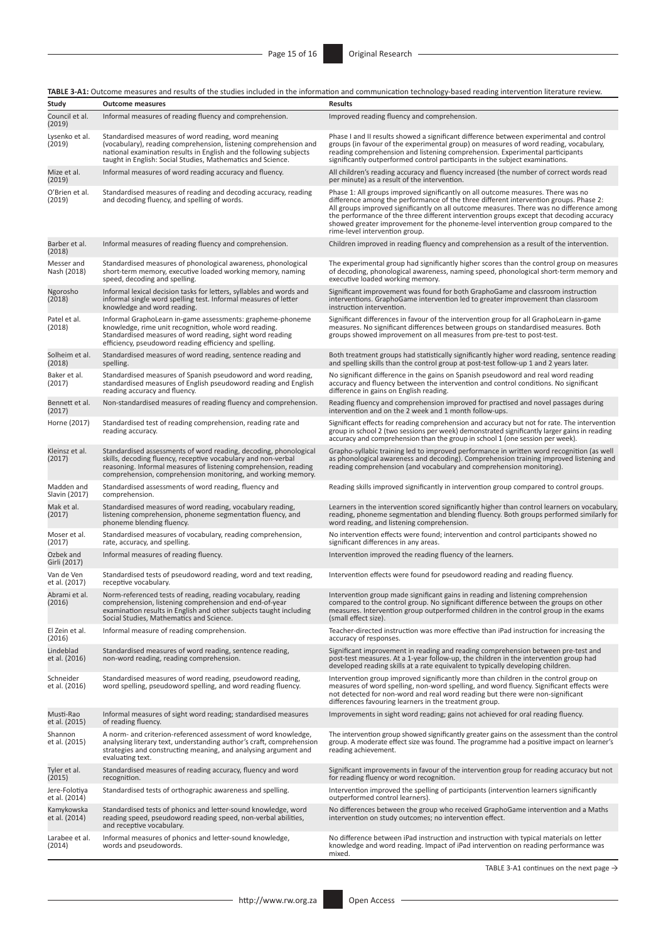**TABLE 3-A1:** Outcome measures and results of the studies included in the information and communication technology-based reading intervention literature review.

|                                |                                                                                                                                                                                                                                                                       | <b>INDLE J-MI.</b> OutCOME MEasures and results of the studies included in the imormation and communication technology-based reading intervention iterature review.                                                                                                                                                                                                                                                                                                                        |
|--------------------------------|-----------------------------------------------------------------------------------------------------------------------------------------------------------------------------------------------------------------------------------------------------------------------|--------------------------------------------------------------------------------------------------------------------------------------------------------------------------------------------------------------------------------------------------------------------------------------------------------------------------------------------------------------------------------------------------------------------------------------------------------------------------------------------|
| Study                          | <b>Outcome measures</b>                                                                                                                                                                                                                                               | <b>Results</b>                                                                                                                                                                                                                                                                                                                                                                                                                                                                             |
| Council et al.<br>(2019)       | Informal measures of reading fluency and comprehension.                                                                                                                                                                                                               | Improved reading fluency and comprehension.                                                                                                                                                                                                                                                                                                                                                                                                                                                |
| Lysenko et al.<br>(2019)       | Standardised measures of word reading, word meaning<br>(vocabulary), reading comprehension, listening comprehension and<br>national examination results in English and the following subjects<br>taught in English: Social Studies, Mathematics and Science.          | Phase I and II results showed a significant difference between experimental and control<br>groups (in favour of the experimental group) on measures of word reading, vocabulary,<br>reading comprehension and listening comprehension. Experimental participants<br>significantly outperformed control participants in the subject examinations.                                                                                                                                           |
| Mize et al.<br>(2019)          | Informal measures of word reading accuracy and fluency.                                                                                                                                                                                                               | All children's reading accuracy and fluency increased (the number of correct words read<br>per minute) as a result of the intervention.                                                                                                                                                                                                                                                                                                                                                    |
| O'Brien et al.<br>(2019)       | Standardised measures of reading and decoding accuracy, reading<br>and decoding fluency, and spelling of words.                                                                                                                                                       | Phase 1: All groups improved significantly on all outcome measures. There was no<br>difference among the performance of the three different intervention groups. Phase 2:<br>All groups improved significantly on all outcome measures. There was no difference among<br>the performance of the three different intervention groups except that decoding accuracy<br>showed greater improvement for the phoneme-level intervention group compared to the<br>rime-level intervention group. |
| Barber et al.<br>(2018)        | Informal measures of reading fluency and comprehension.                                                                                                                                                                                                               | Children improved in reading fluency and comprehension as a result of the intervention.                                                                                                                                                                                                                                                                                                                                                                                                    |
| Messer and<br>Nash (2018)      | Standardised measures of phonological awareness, phonological<br>short-term memory, executive loaded working memory, naming<br>speed, decoding and spelling.                                                                                                          | The experimental group had significantly higher scores than the control group on measures<br>of decoding, phonological awareness, naming speed, phonological short-term memory and<br>executive loaded working memory.                                                                                                                                                                                                                                                                     |
| Ngorosho<br>(2018)             | Informal lexical decision tasks for letters, syllables and words and<br>informal single word spelling test. Informal measures of letter<br>knowledge and word reading.                                                                                                | Significant improvement was found for both GraphoGame and classroom instruction<br>interventions. GraphoGame intervention led to greater improvement than classroom<br>instruction intervention.                                                                                                                                                                                                                                                                                           |
| Patel et al.<br>(2018)         | Informal GraphoLearn in-game assessments: grapheme-phoneme<br>knowledge, rime unit recognition, whole word reading.<br>Standardised measures of word reading, sight word reading<br>efficiency, pseudoword reading efficiency and spelling.                           | Significant differences in favour of the intervention group for all GraphoLearn in-game<br>measures. No significant differences between groups on standardised measures. Both<br>groups showed improvement on all measures from pre-test to post-test.                                                                                                                                                                                                                                     |
| Solheim et al.<br>(2018)       | Standardised measures of word reading, sentence reading and<br>spelling.                                                                                                                                                                                              | Both treatment groups had statistically significantly higher word reading, sentence reading<br>and spelling skills than the control group at post-test follow-up 1 and 2 years later.                                                                                                                                                                                                                                                                                                      |
| Baker et al.<br>(2017)         | Standardised measures of Spanish pseudoword and word reading,<br>standardised measures of English pseudoword reading and English<br>reading accuracy and fluency.                                                                                                     | No significant difference in the gains on Spanish pseudoword and real word reading<br>accuracy and fluency between the intervention and control conditions. No significant<br>difference in gains on English reading.                                                                                                                                                                                                                                                                      |
| Bennett et al.<br>(2017)       | Non-standardised measures of reading fluency and comprehension.                                                                                                                                                                                                       | Reading fluency and comprehension improved for practised and novel passages during<br>intervention and on the 2 week and 1 month follow-ups.                                                                                                                                                                                                                                                                                                                                               |
| Horne (2017)                   | Standardised test of reading comprehension, reading rate and<br>reading accuracy.                                                                                                                                                                                     | Significant effects for reading comprehension and accuracy but not for rate. The intervention<br>group in school 2 (two sessions per week) demonstrated significantly larger gains in reading<br>accuracy and comprehension than the group in school 1 (one session per week).                                                                                                                                                                                                             |
| Kleinsz et al.<br>(2017)       | Standardised assessments of word reading, decoding, phonological<br>skills, decoding fluency, receptive vocabulary and non-verbal<br>reasoning. Informal measures of listening comprehension, reading<br>comprehension, comprehension monitoring, and working memory. | Grapho-syllabic training led to improved performance in written word recognition (as well<br>as phonological awareness and decoding). Comprehension training improved listening and<br>reading comprehension (and vocabulary and comprehension monitoring).                                                                                                                                                                                                                                |
| Madden and<br>Slavin (2017)    | Standardised assessments of word reading, fluency and<br>comprehension.                                                                                                                                                                                               | Reading skills improved significantly in intervention group compared to control groups.                                                                                                                                                                                                                                                                                                                                                                                                    |
| Mak et al.<br>(2017)           | Standardised measures of word reading, vocabulary reading,<br>listening comprehension, phoneme segmentation fluency, and<br>phoneme blending fluency.                                                                                                                 | Learners in the intervention scored significantly higher than control learners on vocabulary,<br>reading, phoneme segmentation and blending fluency. Both groups performed similarly for<br>word reading, and listening comprehension.                                                                                                                                                                                                                                                     |
| Moser et al.<br>(2017)         | Standardised measures of vocabulary, reading comprehension,<br>rate, accuracy, and spelling.                                                                                                                                                                          | No intervention effects were found; intervention and control participants showed no<br>significant differences in any areas.                                                                                                                                                                                                                                                                                                                                                               |
| Ozbek and<br>Girli (2017)      | Informal measures of reading fluency.                                                                                                                                                                                                                                 | Intervention improved the reading fluency of the learners.                                                                                                                                                                                                                                                                                                                                                                                                                                 |
| Van de Ven<br>et al. (2017)    | Standardised tests of pseudoword reading, word and text reading,<br>receptive vocabulary.                                                                                                                                                                             | Intervention effects were found for pseudoword reading and reading fluency.                                                                                                                                                                                                                                                                                                                                                                                                                |
| Abrami et al.<br>(2016)        | Norm-referenced tests of reading, reading vocabulary, reading<br>comprehension, listening comprehension and end-of-year<br>examination results in English and other subjects taught including<br>Social Studies, Mathematics and Science.                             | Intervention group made significant gains in reading and listening comprehension<br>compared to the control group. No significant difference between the groups on other<br>measures. Intervention group outperformed children in the control group in the exams<br>(small effect size).                                                                                                                                                                                                   |
| El Zein et al.<br>(2016)       | Informal measure of reading comprehension.                                                                                                                                                                                                                            | Teacher-directed instruction was more effective than iPad instruction for increasing the<br>accuracy of responses.                                                                                                                                                                                                                                                                                                                                                                         |
| Lindeblad<br>et al. (2016)     | Standardised measures of word reading, sentence reading,<br>non-word reading, reading comprehension.                                                                                                                                                                  | Significant improvement in reading and reading comprehension between pre-test and<br>post-test measures. At a 1-year follow-up, the children in the intervention group had<br>developed reading skills at a rate equivalent to typically developing children.                                                                                                                                                                                                                              |
| Schneider<br>et al. (2016)     | Standardised measures of word reading, pseudoword reading,<br>word spelling, pseudoword spelling, and word reading fluency.                                                                                                                                           | Intervention group improved significantly more than children in the control group on<br>measures of word spelling, non-word spelling, and word fluency. Significant effects were<br>not detected for non-word and real word reading but there were non-significant<br>differences favouring learners in the treatment group.                                                                                                                                                               |
| Musti-Rao<br>et al. (2015)     | Informal measures of sight word reading; standardised measures<br>of reading fluency.                                                                                                                                                                                 | Improvements in sight word reading; gains not achieved for oral reading fluency.                                                                                                                                                                                                                                                                                                                                                                                                           |
| Shannon<br>et al. (2015)       | A norm- and criterion-referenced assessment of word knowledge,<br>analysing literary text, understanding author's craft, comprehension<br>strategies and constructing meaning, and analysing argument and<br>evaluating text.                                         | The intervention group showed significantly greater gains on the assessment than the control<br>group. A moderate effect size was found. The programme had a positive impact on learner's<br>reading achievement.                                                                                                                                                                                                                                                                          |
| Tyler et al.<br>(2015)         | Standardised measures of reading accuracy, fluency and word<br>recognition.                                                                                                                                                                                           | Significant improvements in favour of the intervention group for reading accuracy but not<br>for reading fluency or word recognition.                                                                                                                                                                                                                                                                                                                                                      |
| Jere-Folotiya<br>et al. (2014) | Standardised tests of orthographic awareness and spelling.                                                                                                                                                                                                            | Intervention improved the spelling of participants (intervention learners significantly<br>outperformed control learners).                                                                                                                                                                                                                                                                                                                                                                 |
| Kamykowska<br>et al. (2014)    | Standardised tests of phonics and letter-sound knowledge, word<br>reading speed, pseudoword reading speed, non-verbal abilities,<br>and receptive vocabulary.                                                                                                         | No differences between the group who received GraphoGame intervention and a Maths<br>intervention on study outcomes; no intervention effect.                                                                                                                                                                                                                                                                                                                                               |
| Larabee et al.<br>(2014)       | Informal measures of phonics and letter-sound knowledge,<br>words and pseudowords.                                                                                                                                                                                    | No difference between iPad instruction and instruction with typical materials on letter<br>knowledge and word reading. Impact of iPad intervention on reading performance was<br>mixed.                                                                                                                                                                                                                                                                                                    |

TABLE 3-A1 continues on the next page  $\rightarrow$